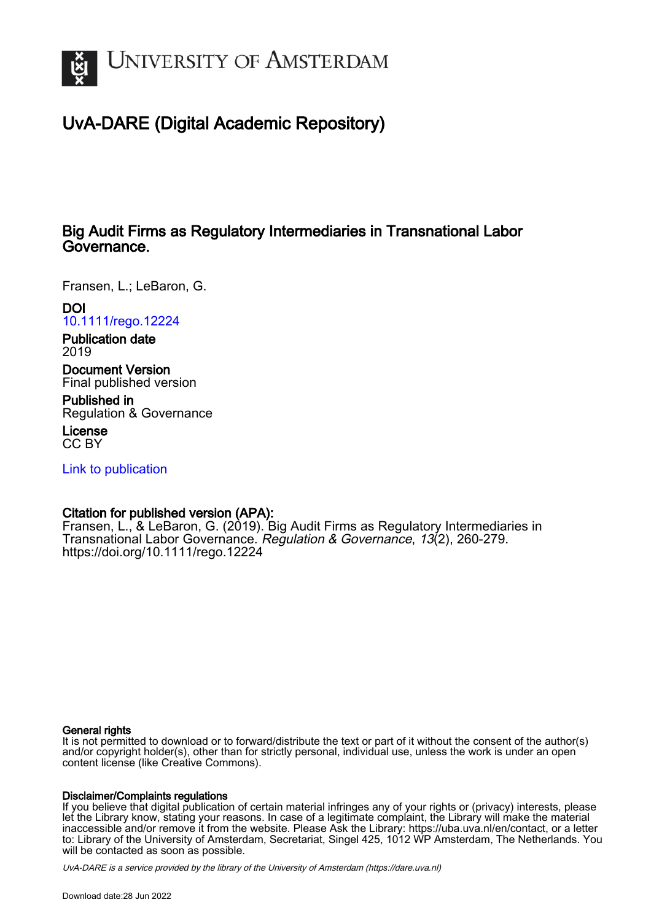

# UvA-DARE (Digital Academic Repository)

# Big Audit Firms as Regulatory Intermediaries in Transnational Labor Governance.

Fransen, L.; LeBaron, G.

DOI [10.1111/rego.12224](https://doi.org/10.1111/rego.12224)

Publication date 2019

Document Version Final published version

Published in Regulation & Governance

License CC BY

[Link to publication](https://dare.uva.nl/personal/pure/en/publications/big-audit-firms-as-regulatory-intermediaries-in-transnational-labor-governance(4fadd48c-0511-4e66-a1d8-0b81b0260a73).html)

# Citation for published version (APA):

Fransen, L., & LeBaron, G. (2019). Big Audit Firms as Regulatory Intermediaries in Transnational Labor Governance. Regulation & Governance, 13(2), 260-279. <https://doi.org/10.1111/rego.12224>

# General rights

It is not permitted to download or to forward/distribute the text or part of it without the consent of the author(s) and/or copyright holder(s), other than for strictly personal, individual use, unless the work is under an open content license (like Creative Commons).

# Disclaimer/Complaints regulations

If you believe that digital publication of certain material infringes any of your rights or (privacy) interests, please let the Library know, stating your reasons. In case of a legitimate complaint, the Library will make the material inaccessible and/or remove it from the website. Please Ask the Library: https://uba.uva.nl/en/contact, or a letter to: Library of the University of Amsterdam, Secretariat, Singel 425, 1012 WP Amsterdam, The Netherlands. You will be contacted as soon as possible.

UvA-DARE is a service provided by the library of the University of Amsterdam (http*s*://dare.uva.nl)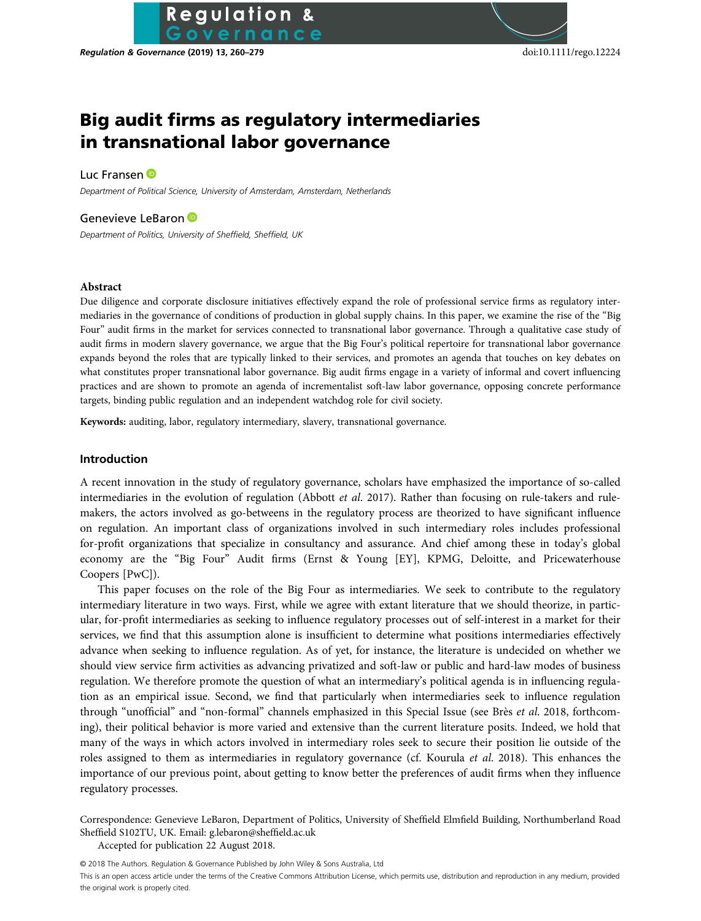

# Big audit firms as regulatory intermediaries in transnational labor governance

# Luc Fransen **D**

Department of Political Science, University of Amsterdam, Amsterdam, Netherlands

**Regulation &** 

# Genevieve LeBaron <sup>®</sup>

Department of Politics, University of Sheffield, Sheffield, UK

#### Abstract

Due diligence and corporate disclosure initiatives effectively expand the role of professional service firms as regulatory intermediaries in the governance of conditions of production in global supply chains. In this paper, we examine the rise of the "Big Four" audit firms in the market for services connected to transnational labor governance. Through a qualitative case study of audit firms in modern slavery governance, we argue that the Big Four's political repertoire for transnational labor governance expands beyond the roles that are typically linked to their services, and promotes an agenda that touches on key debates on what constitutes proper transnational labor governance. Big audit firms engage in a variety of informal and covert influencing practices and are shown to promote an agenda of incrementalist soft-law labor governance, opposing concrete performance targets, binding public regulation and an independent watchdog role for civil society.

Keywords: auditing, labor, regulatory intermediary, slavery, transnational governance.

# Introduction

A recent innovation in the study of regulatory governance, scholars have emphasized the importance of so-called intermediaries in the evolution of regulation (Abbott et al. 2017). Rather than focusing on rule-takers and rulemakers, the actors involved as go-betweens in the regulatory process are theorized to have significant influence on regulation. An important class of organizations involved in such intermediary roles includes professional for-profit organizations that specialize in consultancy and assurance. And chief among these in today's global economy are the "Big Four" Audit firms (Ernst & Young [EY], KPMG, Deloitte, and Pricewaterhouse Coopers [PwC]).

This paper focuses on the role of the Big Four as intermediaries. We seek to contribute to the regulatory intermediary literature in two ways. First, while we agree with extant literature that we should theorize, in particular, for-profit intermediaries as seeking to influence regulatory processes out of self-interest in a market for their services, we find that this assumption alone is insufficient to determine what positions intermediaries effectively advance when seeking to influence regulation. As of yet, for instance, the literature is undecided on whether we should view service firm activities as advancing privatized and soft-law or public and hard-law modes of business regulation. We therefore promote the question of what an intermediary's political agenda is in influencing regulation as an empirical issue. Second, we find that particularly when intermediaries seek to influence regulation through "unofficial" and "non-formal" channels emphasized in this Special Issue (see Brès et al. 2018, forthcoming), their political behavior is more varied and extensive than the current literature posits. Indeed, we hold that many of the ways in which actors involved in intermediary roles seek to secure their position lie outside of the roles assigned to them as intermediaries in regulatory governance (cf. Kourula et al. 2018). This enhances the importance of our previous point, about getting to know better the preferences of audit firms when they influence regulatory processes.

Correspondence: Genevieve LeBaron, Department of Politics, University of Sheffield Elmfield Building, Northumberland Road Sheffield S102TU, UK. Email: [g.lebaron@shef](mailto:g.lebaron@sheffield.ac.uk)field.ac.uk

Accepted for publication 22 August 2018.

© 2018 The Authors. Regulation & Governance Published by John Wiley & Sons Australia, Ltd This is an open access article under the terms of the [Creative Commons Attribution](http://creativecommons.org/licenses/by/4.0/) License, which permits use, distribution and reproduction in any medium, provided the original work is properly cited.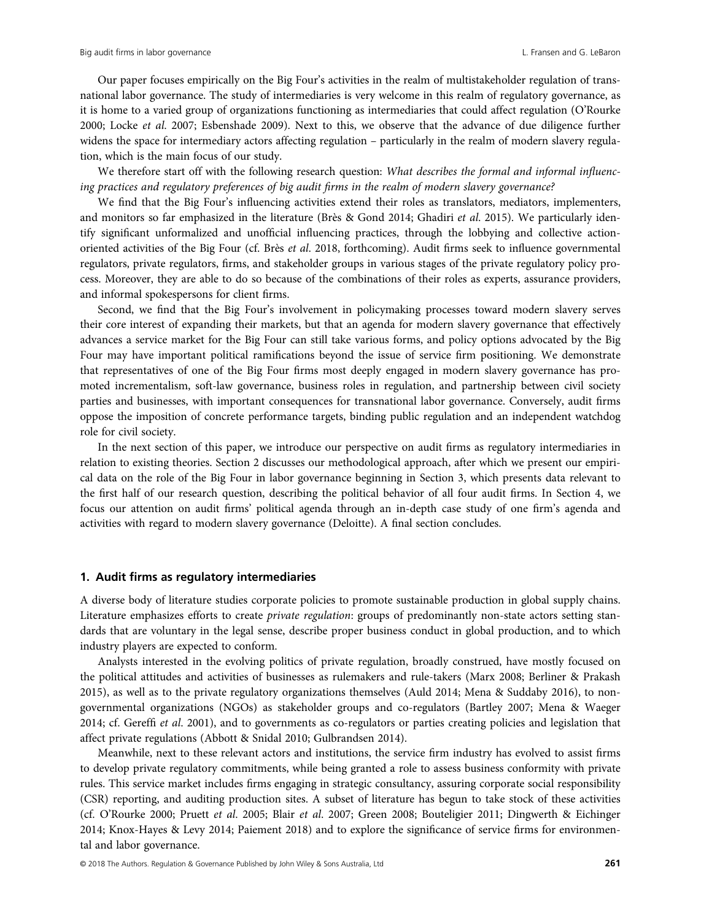Our paper focuses empirically on the Big Four's activities in the realm of multistakeholder regulation of transnational labor governance. The study of intermediaries is very welcome in this realm of regulatory governance, as it is home to a varied group of organizations functioning as intermediaries that could affect regulation (O'Rourke 2000; Locke et al. 2007; Esbenshade 2009). Next to this, we observe that the advance of due diligence further widens the space for intermediary actors affecting regulation – particularly in the realm of modern slavery regulation, which is the main focus of our study.

We therefore start off with the following research question: What describes the formal and informal influencing practices and regulatory preferences of big audit firms in the realm of modern slavery governance?

We find that the Big Four's influencing activities extend their roles as translators, mediators, implementers, and monitors so far emphasized in the literature (Brès & Gond 2014; Ghadiri et al. 2015). We particularly identify significant unformalized and unofficial influencing practices, through the lobbying and collective actionoriented activities of the Big Four (cf. Brès et al. 2018, forthcoming). Audit firms seek to influence governmental regulators, private regulators, firms, and stakeholder groups in various stages of the private regulatory policy process. Moreover, they are able to do so because of the combinations of their roles as experts, assurance providers, and informal spokespersons for client firms.

Second, we find that the Big Four's involvement in policymaking processes toward modern slavery serves their core interest of expanding their markets, but that an agenda for modern slavery governance that effectively advances a service market for the Big Four can still take various forms, and policy options advocated by the Big Four may have important political ramifications beyond the issue of service firm positioning. We demonstrate that representatives of one of the Big Four firms most deeply engaged in modern slavery governance has promoted incrementalism, soft-law governance, business roles in regulation, and partnership between civil society parties and businesses, with important consequences for transnational labor governance. Conversely, audit firms oppose the imposition of concrete performance targets, binding public regulation and an independent watchdog role for civil society.

In the next section of this paper, we introduce our perspective on audit firms as regulatory intermediaries in relation to existing theories. Section 2 discusses our methodological approach, after which we present our empirical data on the role of the Big Four in labor governance beginning in Section 3, which presents data relevant to the first half of our research question, describing the political behavior of all four audit firms. In Section 4, we focus our attention on audit firms' political agenda through an in-depth case study of one firm's agenda and activities with regard to modern slavery governance (Deloitte). A final section concludes.

#### 1. Audit firms as regulatory intermediaries

A diverse body of literature studies corporate policies to promote sustainable production in global supply chains. Literature emphasizes efforts to create *private regulation*: groups of predominantly non-state actors setting standards that are voluntary in the legal sense, describe proper business conduct in global production, and to which industry players are expected to conform.

Analysts interested in the evolving politics of private regulation, broadly construed, have mostly focused on the political attitudes and activities of businesses as rulemakers and rule-takers (Marx 2008; Berliner & Prakash 2015), as well as to the private regulatory organizations themselves (Auld 2014; Mena & Suddaby 2016), to nongovernmental organizations (NGOs) as stakeholder groups and co-regulators (Bartley 2007; Mena & Waeger 2014; cf. Gereffi et al. 2001), and to governments as co-regulators or parties creating policies and legislation that affect private regulations (Abbott & Snidal 2010; Gulbrandsen 2014).

Meanwhile, next to these relevant actors and institutions, the service firm industry has evolved to assist firms to develop private regulatory commitments, while being granted a role to assess business conformity with private rules. This service market includes firms engaging in strategic consultancy, assuring corporate social responsibility (CSR) reporting, and auditing production sites. A subset of literature has begun to take stock of these activities (cf. O'Rourke 2000; Pruett et al. 2005; Blair et al. 2007; Green 2008; Bouteligier 2011; Dingwerth & Eichinger 2014; Knox-Hayes & Levy 2014; Paiement 2018) and to explore the significance of service firms for environmental and labor governance.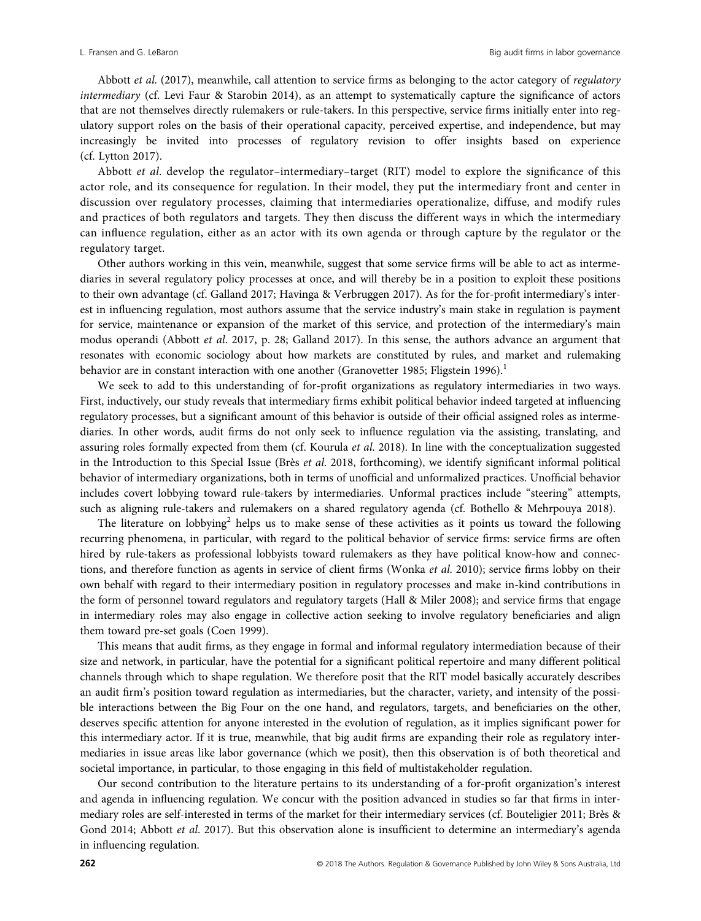Abbott et al. (2017), meanwhile, call attention to service firms as belonging to the actor category of regulatory intermediary (cf. Levi Faur & Starobin 2014), as an attempt to systematically capture the significance of actors that are not themselves directly rulemakers or rule-takers. In this perspective, service firms initially enter into regulatory support roles on the basis of their operational capacity, perceived expertise, and independence, but may increasingly be invited into processes of regulatory revision to offer insights based on experience (cf. Lytton 2017).

Abbott et al. develop the regulator–intermediary–target (RIT) model to explore the significance of this actor role, and its consequence for regulation. In their model, they put the intermediary front and center in discussion over regulatory processes, claiming that intermediaries operationalize, diffuse, and modify rules and practices of both regulators and targets. They then discuss the different ways in which the intermediary can influence regulation, either as an actor with its own agenda or through capture by the regulator or the regulatory target.

Other authors working in this vein, meanwhile, suggest that some service firms will be able to act as intermediaries in several regulatory policy processes at once, and will thereby be in a position to exploit these positions to their own advantage (cf. Galland 2017; Havinga & Verbruggen 2017). As for the for-profit intermediary's interest in influencing regulation, most authors assume that the service industry's main stake in regulation is payment for service, maintenance or expansion of the market of this service, and protection of the intermediary's main modus operandi (Abbott et al. 2017, p. 28; Galland 2017). In this sense, the authors advance an argument that resonates with economic sociology about how markets are constituted by rules, and market and rulemaking behavior are in constant interaction with one another (Granovetter 1985; Fligstein 1996).<sup>1</sup>

We seek to add to this understanding of for-profit organizations as regulatory intermediaries in two ways. First, inductively, our study reveals that intermediary firms exhibit political behavior indeed targeted at influencing regulatory processes, but a significant amount of this behavior is outside of their official assigned roles as intermediaries. In other words, audit firms do not only seek to influence regulation via the assisting, translating, and assuring roles formally expected from them (cf. Kourula et al. 2018). In line with the conceptualization suggested in the Introduction to this Special Issue (Brès et al. 2018, forthcoming), we identify significant informal political behavior of intermediary organizations, both in terms of unofficial and unformalized practices. Unofficial behavior includes covert lobbying toward rule-takers by intermediaries. Unformal practices include "steering" attempts, such as aligning rule-takers and rulemakers on a shared regulatory agenda (cf. Bothello & Mehrpouya 2018).

The literature on lobbying<sup>2</sup> helps us to make sense of these activities as it points us toward the following recurring phenomena, in particular, with regard to the political behavior of service firms: service firms are often hired by rule-takers as professional lobbyists toward rulemakers as they have political know-how and connections, and therefore function as agents in service of client firms (Wonka et al. 2010); service firms lobby on their own behalf with regard to their intermediary position in regulatory processes and make in-kind contributions in the form of personnel toward regulators and regulatory targets (Hall & Miler 2008); and service firms that engage in intermediary roles may also engage in collective action seeking to involve regulatory beneficiaries and align them toward pre-set goals (Coen 1999).

This means that audit firms, as they engage in formal and informal regulatory intermediation because of their size and network, in particular, have the potential for a significant political repertoire and many different political channels through which to shape regulation. We therefore posit that the RIT model basically accurately describes an audit firm's position toward regulation as intermediaries, but the character, variety, and intensity of the possible interactions between the Big Four on the one hand, and regulators, targets, and beneficiaries on the other, deserves specific attention for anyone interested in the evolution of regulation, as it implies significant power for this intermediary actor. If it is true, meanwhile, that big audit firms are expanding their role as regulatory intermediaries in issue areas like labor governance (which we posit), then this observation is of both theoretical and societal importance, in particular, to those engaging in this field of multistakeholder regulation.

Our second contribution to the literature pertains to its understanding of a for-profit organization's interest and agenda in influencing regulation. We concur with the position advanced in studies so far that firms in intermediary roles are self-interested in terms of the market for their intermediary services (cf. Bouteligier 2011; Brès & Gond 2014; Abbott et al. 2017). But this observation alone is insufficient to determine an intermediary's agenda in influencing regulation.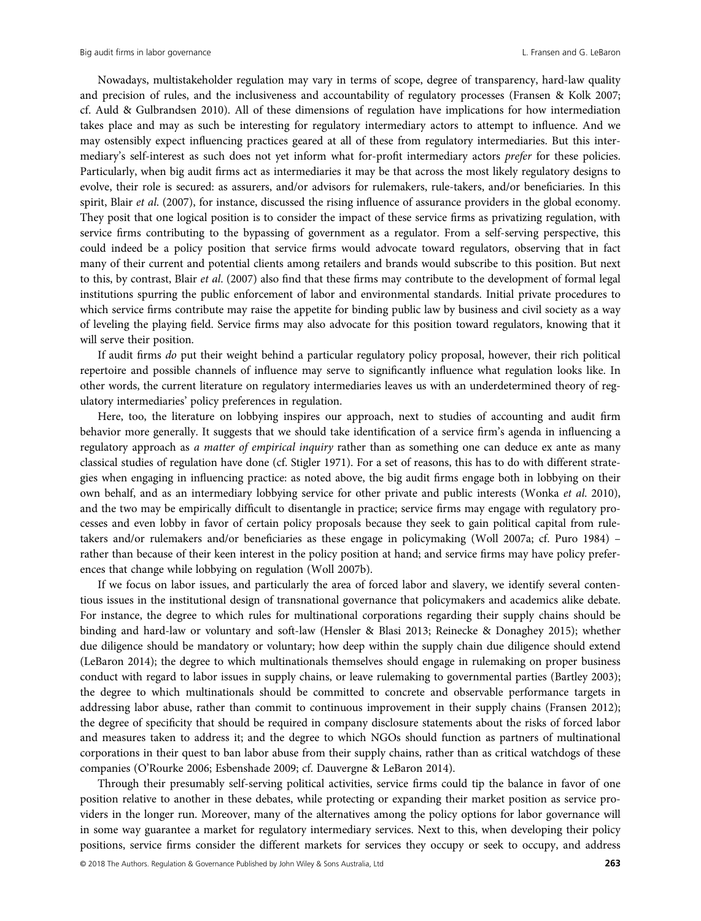Nowadays, multistakeholder regulation may vary in terms of scope, degree of transparency, hard-law quality and precision of rules, and the inclusiveness and accountability of regulatory processes (Fransen & Kolk 2007; cf. Auld & Gulbrandsen 2010). All of these dimensions of regulation have implications for how intermediation takes place and may as such be interesting for regulatory intermediary actors to attempt to influence. And we may ostensibly expect influencing practices geared at all of these from regulatory intermediaries. But this intermediary's self-interest as such does not yet inform what for-profit intermediary actors prefer for these policies. Particularly, when big audit firms act as intermediaries it may be that across the most likely regulatory designs to evolve, their role is secured: as assurers, and/or advisors for rulemakers, rule-takers, and/or beneficiaries. In this spirit, Blair et al. (2007), for instance, discussed the rising influence of assurance providers in the global economy. They posit that one logical position is to consider the impact of these service firms as privatizing regulation, with service firms contributing to the bypassing of government as a regulator. From a self-serving perspective, this could indeed be a policy position that service firms would advocate toward regulators, observing that in fact many of their current and potential clients among retailers and brands would subscribe to this position. But next to this, by contrast, Blair et al. (2007) also find that these firms may contribute to the development of formal legal institutions spurring the public enforcement of labor and environmental standards. Initial private procedures to which service firms contribute may raise the appetite for binding public law by business and civil society as a way of leveling the playing field. Service firms may also advocate for this position toward regulators, knowing that it will serve their position.

If audit firms do put their weight behind a particular regulatory policy proposal, however, their rich political repertoire and possible channels of influence may serve to significantly influence what regulation looks like. In other words, the current literature on regulatory intermediaries leaves us with an underdetermined theory of regulatory intermediaries' policy preferences in regulation.

Here, too, the literature on lobbying inspires our approach, next to studies of accounting and audit firm behavior more generally. It suggests that we should take identification of a service firm's agenda in influencing a regulatory approach as a matter of empirical inquiry rather than as something one can deduce ex ante as many classical studies of regulation have done (cf. Stigler 1971). For a set of reasons, this has to do with different strategies when engaging in influencing practice: as noted above, the big audit firms engage both in lobbying on their own behalf, and as an intermediary lobbying service for other private and public interests (Wonka et al. 2010), and the two may be empirically difficult to disentangle in practice; service firms may engage with regulatory processes and even lobby in favor of certain policy proposals because they seek to gain political capital from ruletakers and/or rulemakers and/or beneficiaries as these engage in policymaking (Woll 2007a; cf. Puro 1984) – rather than because of their keen interest in the policy position at hand; and service firms may have policy preferences that change while lobbying on regulation (Woll 2007b).

If we focus on labor issues, and particularly the area of forced labor and slavery, we identify several contentious issues in the institutional design of transnational governance that policymakers and academics alike debate. For instance, the degree to which rules for multinational corporations regarding their supply chains should be binding and hard-law or voluntary and soft-law (Hensler & Blasi 2013; Reinecke & Donaghey 2015); whether due diligence should be mandatory or voluntary; how deep within the supply chain due diligence should extend (LeBaron 2014); the degree to which multinationals themselves should engage in rulemaking on proper business conduct with regard to labor issues in supply chains, or leave rulemaking to governmental parties (Bartley 2003); the degree to which multinationals should be committed to concrete and observable performance targets in addressing labor abuse, rather than commit to continuous improvement in their supply chains (Fransen 2012); the degree of specificity that should be required in company disclosure statements about the risks of forced labor and measures taken to address it; and the degree to which NGOs should function as partners of multinational corporations in their quest to ban labor abuse from their supply chains, rather than as critical watchdogs of these companies (O'Rourke 2006; Esbenshade 2009; cf. Dauvergne & LeBaron 2014).

Through their presumably self-serving political activities, service firms could tip the balance in favor of one position relative to another in these debates, while protecting or expanding their market position as service providers in the longer run. Moreover, many of the alternatives among the policy options for labor governance will in some way guarantee a market for regulatory intermediary services. Next to this, when developing their policy positions, service firms consider the different markets for services they occupy or seek to occupy, and address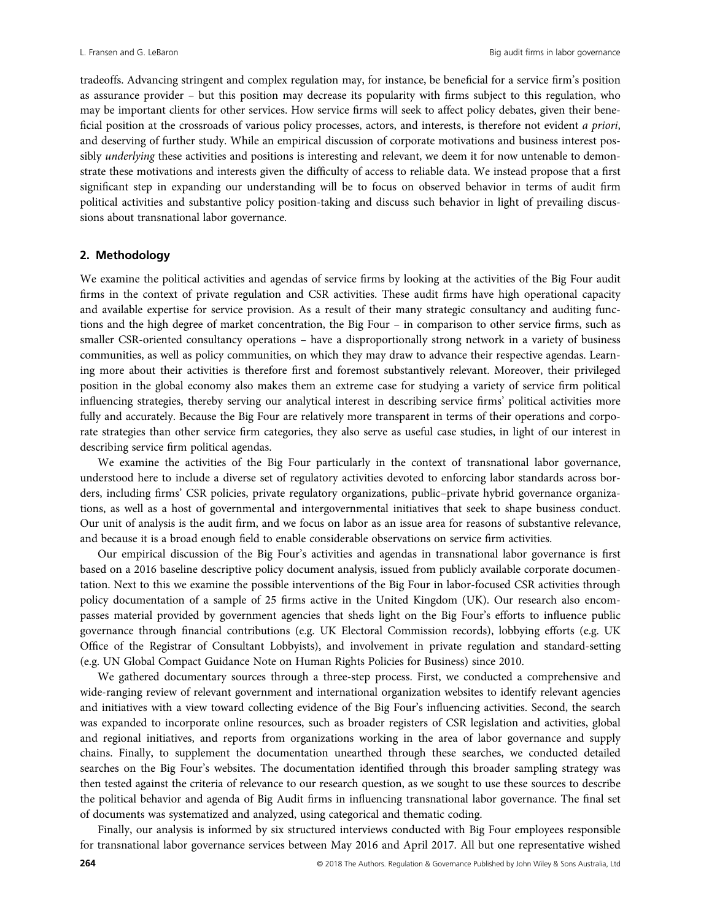tradeoffs. Advancing stringent and complex regulation may, for instance, be beneficial for a service firm's position as assurance provider – but this position may decrease its popularity with firms subject to this regulation, who may be important clients for other services. How service firms will seek to affect policy debates, given their beneficial position at the crossroads of various policy processes, actors, and interests, is therefore not evident a priori, and deserving of further study. While an empirical discussion of corporate motivations and business interest possibly *underlying* these activities and positions is interesting and relevant, we deem it for now untenable to demonstrate these motivations and interests given the difficulty of access to reliable data. We instead propose that a first significant step in expanding our understanding will be to focus on observed behavior in terms of audit firm political activities and substantive policy position-taking and discuss such behavior in light of prevailing discussions about transnational labor governance.

# 2. Methodology

We examine the political activities and agendas of service firms by looking at the activities of the Big Four audit firms in the context of private regulation and CSR activities. These audit firms have high operational capacity and available expertise for service provision. As a result of their many strategic consultancy and auditing functions and the high degree of market concentration, the Big Four – in comparison to other service firms, such as smaller CSR-oriented consultancy operations – have a disproportionally strong network in a variety of business communities, as well as policy communities, on which they may draw to advance their respective agendas. Learning more about their activities is therefore first and foremost substantively relevant. Moreover, their privileged position in the global economy also makes them an extreme case for studying a variety of service firm political influencing strategies, thereby serving our analytical interest in describing service firms' political activities more fully and accurately. Because the Big Four are relatively more transparent in terms of their operations and corporate strategies than other service firm categories, they also serve as useful case studies, in light of our interest in describing service firm political agendas.

We examine the activities of the Big Four particularly in the context of transnational labor governance, understood here to include a diverse set of regulatory activities devoted to enforcing labor standards across borders, including firms' CSR policies, private regulatory organizations, public–private hybrid governance organizations, as well as a host of governmental and intergovernmental initiatives that seek to shape business conduct. Our unit of analysis is the audit firm, and we focus on labor as an issue area for reasons of substantive relevance, and because it is a broad enough field to enable considerable observations on service firm activities.

Our empirical discussion of the Big Four's activities and agendas in transnational labor governance is first based on a 2016 baseline descriptive policy document analysis, issued from publicly available corporate documentation. Next to this we examine the possible interventions of the Big Four in labor-focused CSR activities through policy documentation of a sample of 25 firms active in the United Kingdom (UK). Our research also encompasses material provided by government agencies that sheds light on the Big Four's efforts to influence public governance through financial contributions (e.g. UK Electoral Commission records), lobbying efforts (e.g. UK Office of the Registrar of Consultant Lobbyists), and involvement in private regulation and standard-setting (e.g. UN Global Compact Guidance Note on Human Rights Policies for Business) since 2010.

We gathered documentary sources through a three-step process. First, we conducted a comprehensive and wide-ranging review of relevant government and international organization websites to identify relevant agencies and initiatives with a view toward collecting evidence of the Big Four's influencing activities. Second, the search was expanded to incorporate online resources, such as broader registers of CSR legislation and activities, global and regional initiatives, and reports from organizations working in the area of labor governance and supply chains. Finally, to supplement the documentation unearthed through these searches, we conducted detailed searches on the Big Four's websites. The documentation identified through this broader sampling strategy was then tested against the criteria of relevance to our research question, as we sought to use these sources to describe the political behavior and agenda of Big Audit firms in influencing transnational labor governance. The final set of documents was systematized and analyzed, using categorical and thematic coding.

Finally, our analysis is informed by six structured interviews conducted with Big Four employees responsible for transnational labor governance services between May 2016 and April 2017. All but one representative wished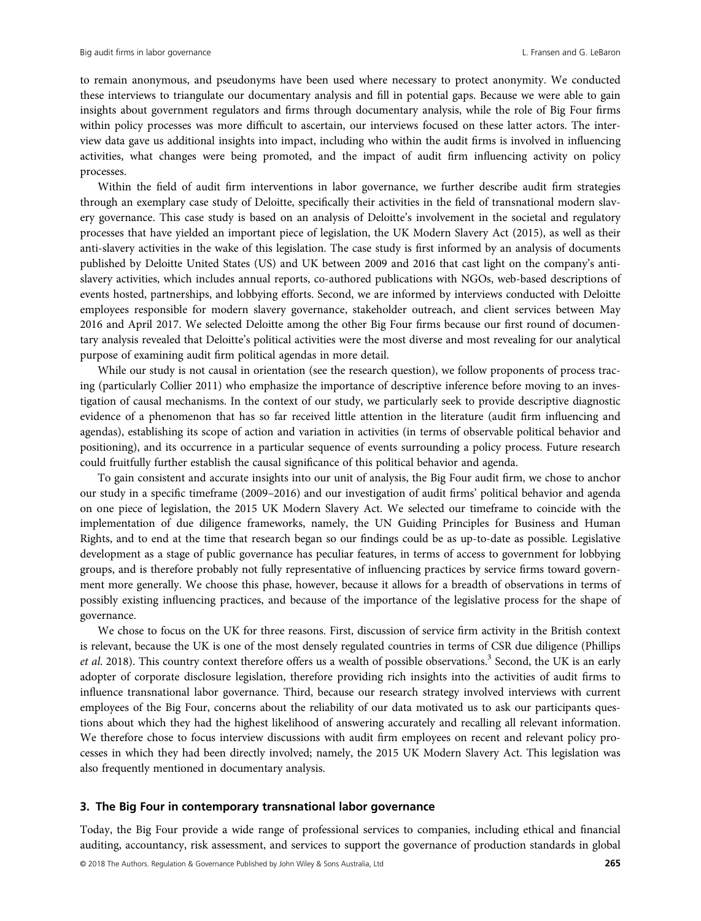to remain anonymous, and pseudonyms have been used where necessary to protect anonymity. We conducted these interviews to triangulate our documentary analysis and fill in potential gaps. Because we were able to gain insights about government regulators and firms through documentary analysis, while the role of Big Four firms within policy processes was more difficult to ascertain, our interviews focused on these latter actors. The interview data gave us additional insights into impact, including who within the audit firms is involved in influencing activities, what changes were being promoted, and the impact of audit firm influencing activity on policy processes.

Within the field of audit firm interventions in labor governance, we further describe audit firm strategies through an exemplary case study of Deloitte, specifically their activities in the field of transnational modern slavery governance. This case study is based on an analysis of Deloitte's involvement in the societal and regulatory processes that have yielded an important piece of legislation, the UK Modern Slavery Act (2015), as well as their anti-slavery activities in the wake of this legislation. The case study is first informed by an analysis of documents published by Deloitte United States (US) and UK between 2009 and 2016 that cast light on the company's antislavery activities, which includes annual reports, co-authored publications with NGOs, web-based descriptions of events hosted, partnerships, and lobbying efforts. Second, we are informed by interviews conducted with Deloitte employees responsible for modern slavery governance, stakeholder outreach, and client services between May 2016 and April 2017. We selected Deloitte among the other Big Four firms because our first round of documentary analysis revealed that Deloitte's political activities were the most diverse and most revealing for our analytical purpose of examining audit firm political agendas in more detail.

While our study is not causal in orientation (see the research question), we follow proponents of process tracing (particularly Collier 2011) who emphasize the importance of descriptive inference before moving to an investigation of causal mechanisms. In the context of our study, we particularly seek to provide descriptive diagnostic evidence of a phenomenon that has so far received little attention in the literature (audit firm influencing and agendas), establishing its scope of action and variation in activities (in terms of observable political behavior and positioning), and its occurrence in a particular sequence of events surrounding a policy process. Future research could fruitfully further establish the causal significance of this political behavior and agenda.

To gain consistent and accurate insights into our unit of analysis, the Big Four audit firm, we chose to anchor our study in a specific timeframe (2009–2016) and our investigation of audit firms' political behavior and agenda on one piece of legislation, the 2015 UK Modern Slavery Act. We selected our timeframe to coincide with the implementation of due diligence frameworks, namely, the UN Guiding Principles for Business and Human Rights, and to end at the time that research began so our findings could be as up-to-date as possible. Legislative development as a stage of public governance has peculiar features, in terms of access to government for lobbying groups, and is therefore probably not fully representative of influencing practices by service firms toward government more generally. We choose this phase, however, because it allows for a breadth of observations in terms of possibly existing influencing practices, and because of the importance of the legislative process for the shape of governance.

We chose to focus on the UK for three reasons. First, discussion of service firm activity in the British context is relevant, because the UK is one of the most densely regulated countries in terms of CSR due diligence (Phillips et al. 2018). This country context therefore offers us a wealth of possible observations.<sup>3</sup> Second, the UK is an early adopter of corporate disclosure legislation, therefore providing rich insights into the activities of audit firms to influence transnational labor governance. Third, because our research strategy involved interviews with current employees of the Big Four, concerns about the reliability of our data motivated us to ask our participants questions about which they had the highest likelihood of answering accurately and recalling all relevant information. We therefore chose to focus interview discussions with audit firm employees on recent and relevant policy processes in which they had been directly involved; namely, the 2015 UK Modern Slavery Act. This legislation was also frequently mentioned in documentary analysis.

#### 3. The Big Four in contemporary transnational labor governance

Today, the Big Four provide a wide range of professional services to companies, including ethical and financial auditing, accountancy, risk assessment, and services to support the governance of production standards in global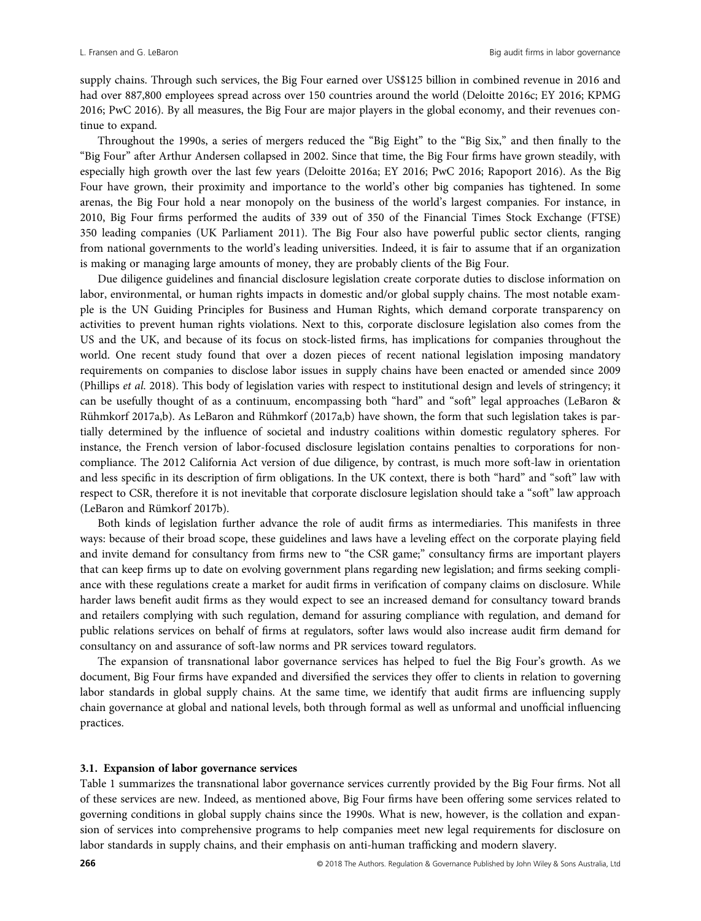supply chains. Through such services, the Big Four earned over US\$125 billion in combined revenue in 2016 and had over 887,800 employees spread across over 150 countries around the world (Deloitte 2016c; EY 2016; KPMG 2016; PwC 2016). By all measures, the Big Four are major players in the global economy, and their revenues continue to expand.

Throughout the 1990s, a series of mergers reduced the "Big Eight" to the "Big Six," and then finally to the "Big Four" after Arthur Andersen collapsed in 2002. Since that time, the Big Four firms have grown steadily, with especially high growth over the last few years (Deloitte 2016a; EY 2016; PwC 2016; Rapoport 2016). As the Big Four have grown, their proximity and importance to the world's other big companies has tightened. In some arenas, the Big Four hold a near monopoly on the business of the world's largest companies. For instance, in 2010, Big Four firms performed the audits of 339 out of 350 of the Financial Times Stock Exchange (FTSE) 350 leading companies (UK Parliament 2011). The Big Four also have powerful public sector clients, ranging from national governments to the world's leading universities. Indeed, it is fair to assume that if an organization is making or managing large amounts of money, they are probably clients of the Big Four.

Due diligence guidelines and financial disclosure legislation create corporate duties to disclose information on labor, environmental, or human rights impacts in domestic and/or global supply chains. The most notable example is the UN Guiding Principles for Business and Human Rights, which demand corporate transparency on activities to prevent human rights violations. Next to this, corporate disclosure legislation also comes from the US and the UK, and because of its focus on stock-listed firms, has implications for companies throughout the world. One recent study found that over a dozen pieces of recent national legislation imposing mandatory requirements on companies to disclose labor issues in supply chains have been enacted or amended since 2009 (Phillips et al. 2018). This body of legislation varies with respect to institutional design and levels of stringency; it can be usefully thought of as a continuum, encompassing both "hard" and "soft" legal approaches (LeBaron & Rühmkorf 2017a,b). As LeBaron and Rühmkorf (2017a,b) have shown, the form that such legislation takes is partially determined by the influence of societal and industry coalitions within domestic regulatory spheres. For instance, the French version of labor-focused disclosure legislation contains penalties to corporations for noncompliance. The 2012 California Act version of due diligence, by contrast, is much more soft-law in orientation and less specific in its description of firm obligations. In the UK context, there is both "hard" and "soft" law with respect to CSR, therefore it is not inevitable that corporate disclosure legislation should take a "soft" law approach (LeBaron and Rümkorf 2017b).

Both kinds of legislation further advance the role of audit firms as intermediaries. This manifests in three ways: because of their broad scope, these guidelines and laws have a leveling effect on the corporate playing field and invite demand for consultancy from firms new to "the CSR game;" consultancy firms are important players that can keep firms up to date on evolving government plans regarding new legislation; and firms seeking compliance with these regulations create a market for audit firms in verification of company claims on disclosure. While harder laws benefit audit firms as they would expect to see an increased demand for consultancy toward brands and retailers complying with such regulation, demand for assuring compliance with regulation, and demand for public relations services on behalf of firms at regulators, softer laws would also increase audit firm demand for consultancy on and assurance of soft-law norms and PR services toward regulators.

The expansion of transnational labor governance services has helped to fuel the Big Four's growth. As we document, Big Four firms have expanded and diversified the services they offer to clients in relation to governing labor standards in global supply chains. At the same time, we identify that audit firms are influencing supply chain governance at global and national levels, both through formal as well as unformal and unofficial influencing practices.

## 3.1. Expansion of labor governance services

Table 1 summarizes the transnational labor governance services currently provided by the Big Four firms. Not all of these services are new. Indeed, as mentioned above, Big Four firms have been offering some services related to governing conditions in global supply chains since the 1990s. What is new, however, is the collation and expansion of services into comprehensive programs to help companies meet new legal requirements for disclosure on labor standards in supply chains, and their emphasis on anti-human trafficking and modern slavery.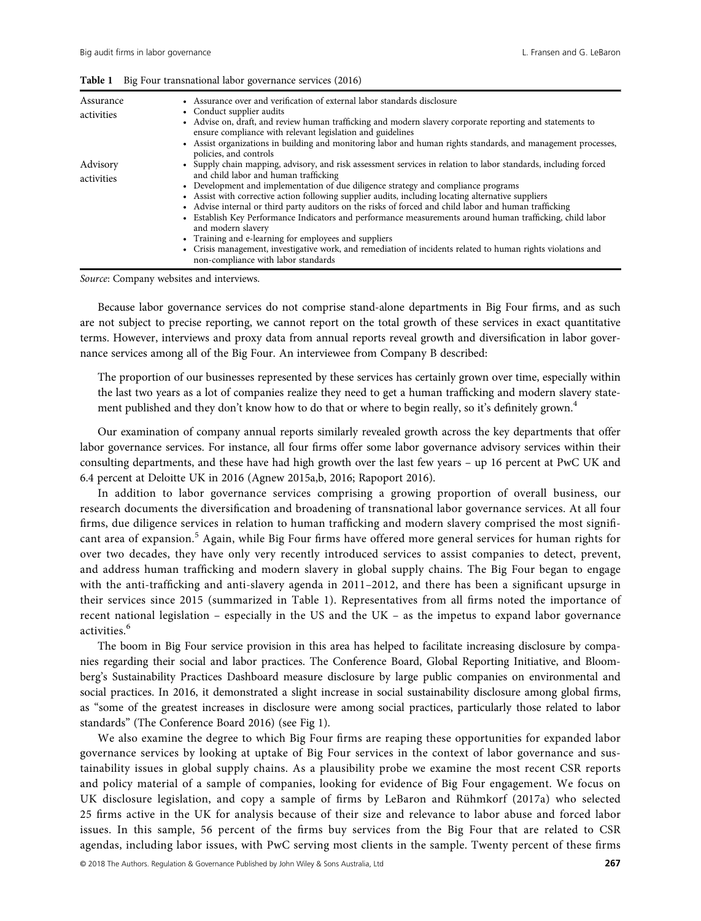| Assurance<br>activities | • Assurance over and verification of external labor standards disclosure<br>• Conduct supplier audits                                                                   |
|-------------------------|-------------------------------------------------------------------------------------------------------------------------------------------------------------------------|
|                         | • Advise on, draft, and review human trafficking and modern slavery corporate reporting and statements to<br>ensure compliance with relevant legislation and guidelines |
|                         | • Assist organizations in building and monitoring labor and human rights standards, and management processes,<br>policies, and controls                                 |
| Advisory                | • Supply chain mapping, advisory, and risk assessment services in relation to labor standards, including forced                                                         |
| activities              | and child labor and human trafficking                                                                                                                                   |
|                         | • Development and implementation of due diligence strategy and compliance programs                                                                                      |
|                         | • Assist with corrective action following supplier audits, including locating alternative suppliers                                                                     |
|                         | • Advise internal or third party auditors on the risks of forced and child labor and human trafficking                                                                  |
|                         | • Establish Key Performance Indicators and performance measurements around human trafficking, child labor<br>and modern slavery                                         |
|                         | • Training and e-learning for employees and suppliers                                                                                                                   |
|                         | • Crisis management, investigative work, and remediation of incidents related to human rights violations and<br>non-compliance with labor standards                     |

Table 1 Big Four transnational labor governance services (2016)

Source: Company websites and interviews.

Because labor governance services do not comprise stand-alone departments in Big Four firms, and as such are not subject to precise reporting, we cannot report on the total growth of these services in exact quantitative terms. However, interviews and proxy data from annual reports reveal growth and diversification in labor governance services among all of the Big Four. An interviewee from Company B described:

The proportion of our businesses represented by these services has certainly grown over time, especially within the last two years as a lot of companies realize they need to get a human trafficking and modern slavery statement published and they don't know how to do that or where to begin really, so it's definitely grown.<sup>4</sup>

Our examination of company annual reports similarly revealed growth across the key departments that offer labor governance services. For instance, all four firms offer some labor governance advisory services within their consulting departments, and these have had high growth over the last few years – up 16 percent at PwC UK and 6.4 percent at Deloitte UK in 2016 (Agnew 2015a,b, 2016; Rapoport 2016).

In addition to labor governance services comprising a growing proportion of overall business, our research documents the diversification and broadening of transnational labor governance services. At all four firms, due diligence services in relation to human trafficking and modern slavery comprised the most significant area of expansion.<sup>5</sup> Again, while Big Four firms have offered more general services for human rights for over two decades, they have only very recently introduced services to assist companies to detect, prevent, and address human trafficking and modern slavery in global supply chains. The Big Four began to engage with the anti-trafficking and anti-slavery agenda in 2011–2012, and there has been a significant upsurge in their services since 2015 (summarized in Table 1). Representatives from all firms noted the importance of recent national legislation – especially in the US and the UK – as the impetus to expand labor governance activities.<sup>6</sup>

The boom in Big Four service provision in this area has helped to facilitate increasing disclosure by companies regarding their social and labor practices. The Conference Board, Global Reporting Initiative, and Bloomberg's Sustainability Practices Dashboard measure disclosure by large public companies on environmental and social practices. In 2016, it demonstrated a slight increase in social sustainability disclosure among global firms, as "some of the greatest increases in disclosure were among social practices, particularly those related to labor standards" (The Conference Board 2016) (see Fig 1).

We also examine the degree to which Big Four firms are reaping these opportunities for expanded labor governance services by looking at uptake of Big Four services in the context of labor governance and sustainability issues in global supply chains. As a plausibility probe we examine the most recent CSR reports and policy material of a sample of companies, looking for evidence of Big Four engagement. We focus on UK disclosure legislation, and copy a sample of firms by LeBaron and Rühmkorf (2017a) who selected 25 firms active in the UK for analysis because of their size and relevance to labor abuse and forced labor issues. In this sample, 56 percent of the firms buy services from the Big Four that are related to CSR agendas, including labor issues, with PwC serving most clients in the sample. Twenty percent of these firms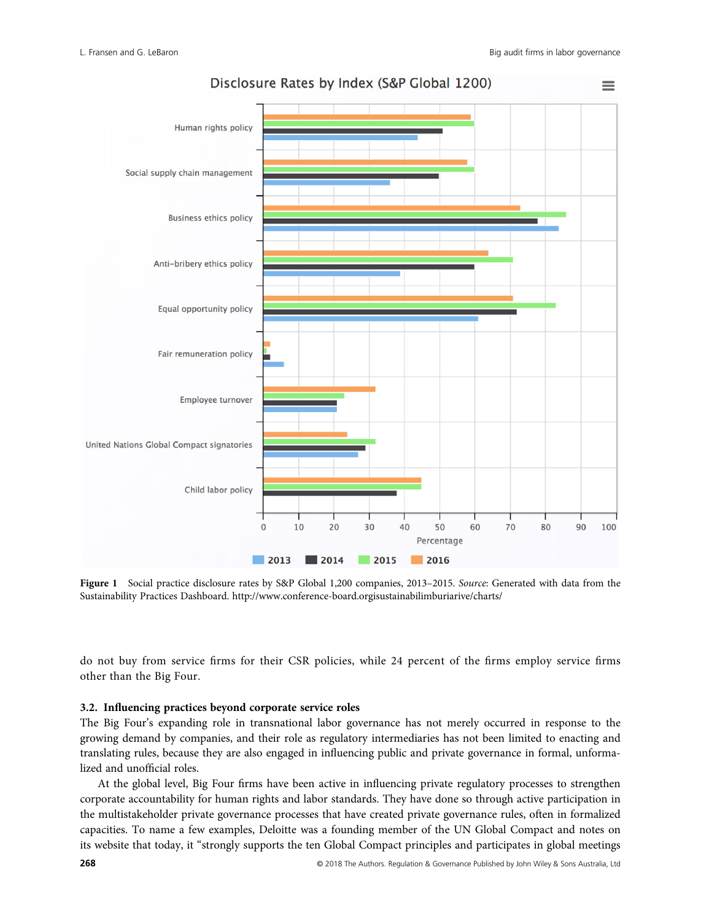

Figure 1 Social practice disclosure rates by S&P Global 1,200 companies, 2013-2015. Source: Generated with data from the Sustainability Practices Dashboard. [http://www.conference-board.orgisustainabilimburiarive/charts/](http://www.conference-board.orgisustainabilimburiarive/charts)

do not buy from service firms for their CSR policies, while 24 percent of the firms employ service firms other than the Big Four.

#### 3.2. Influencing practices beyond corporate service roles

The Big Four's expanding role in transnational labor governance has not merely occurred in response to the growing demand by companies, and their role as regulatory intermediaries has not been limited to enacting and translating rules, because they are also engaged in influencing public and private governance in formal, unformalized and unofficial roles.

At the global level, Big Four firms have been active in influencing private regulatory processes to strengthen corporate accountability for human rights and labor standards. They have done so through active participation in the multistakeholder private governance processes that have created private governance rules, often in formalized capacities. To name a few examples, Deloitte was a founding member of the UN Global Compact and notes on its website that today, it "strongly supports the ten Global Compact principles and participates in global meetings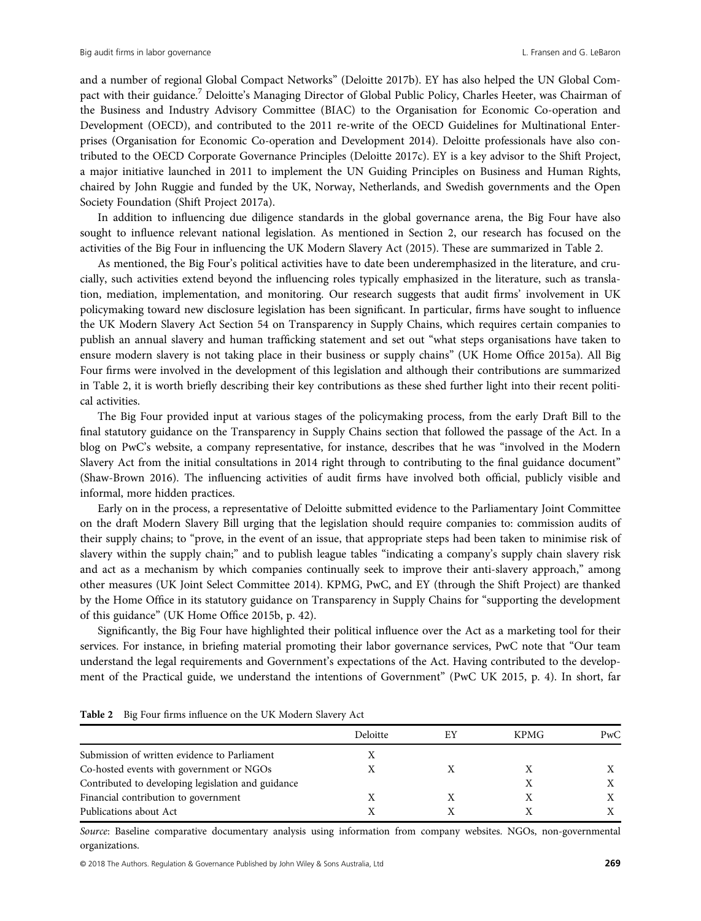and a number of regional Global Compact Networks" (Deloitte 2017b). EY has also helped the UN Global Compact with their guidance.<sup>7</sup> Deloitte's Managing Director of Global Public Policy, Charles Heeter, was Chairman of the Business and Industry Advisory Committee (BIAC) to the Organisation for Economic Co-operation and Development (OECD), and contributed to the 2011 re-write of the OECD Guidelines for Multinational Enterprises (Organisation for Economic Co-operation and Development 2014). Deloitte professionals have also contributed to the OECD Corporate Governance Principles (Deloitte 2017c). EY is a key advisor to the Shift Project, a major initiative launched in 2011 to implement the UN Guiding Principles on Business and Human Rights, chaired by John Ruggie and funded by the UK, Norway, Netherlands, and Swedish governments and the Open Society Foundation (Shift Project 2017a).

In addition to influencing due diligence standards in the global governance arena, the Big Four have also sought to influence relevant national legislation. As mentioned in Section 2, our research has focused on the activities of the Big Four in influencing the UK Modern Slavery Act (2015). These are summarized in Table 2.

As mentioned, the Big Four's political activities have to date been underemphasized in the literature, and crucially, such activities extend beyond the influencing roles typically emphasized in the literature, such as translation, mediation, implementation, and monitoring. Our research suggests that audit firms' involvement in UK policymaking toward new disclosure legislation has been significant. In particular, firms have sought to influence the UK Modern Slavery Act Section 54 on Transparency in Supply Chains, which requires certain companies to publish an annual slavery and human trafficking statement and set out "what steps organisations have taken to ensure modern slavery is not taking place in their business or supply chains" (UK Home Office 2015a). All Big Four firms were involved in the development of this legislation and although their contributions are summarized in Table 2, it is worth briefly describing their key contributions as these shed further light into their recent political activities.

The Big Four provided input at various stages of the policymaking process, from the early Draft Bill to the final statutory guidance on the Transparency in Supply Chains section that followed the passage of the Act. In a blog on PwC's website, a company representative, for instance, describes that he was "involved in the Modern Slavery Act from the initial consultations in 2014 right through to contributing to the final guidance document" (Shaw-Brown 2016). The influencing activities of audit firms have involved both official, publicly visible and informal, more hidden practices.

Early on in the process, a representative of Deloitte submitted evidence to the Parliamentary Joint Committee on the draft Modern Slavery Bill urging that the legislation should require companies to: commission audits of their supply chains; to "prove, in the event of an issue, that appropriate steps had been taken to minimise risk of slavery within the supply chain;" and to publish league tables "indicating a company's supply chain slavery risk and act as a mechanism by which companies continually seek to improve their anti-slavery approach," among other measures (UK Joint Select Committee 2014). KPMG, PwC, and EY (through the Shift Project) are thanked by the Home Office in its statutory guidance on Transparency in Supply Chains for "supporting the development of this guidance" (UK Home Office 2015b, p. 42).

Significantly, the Big Four have highlighted their political influence over the Act as a marketing tool for their services. For instance, in briefing material promoting their labor governance services, PwC note that "Our team understand the legal requirements and Government's expectations of the Act. Having contributed to the development of the Practical guide, we understand the intentions of Government" (PwC UK 2015, p. 4). In short, far

|                                                    | Deloitte | <b>KPMG</b> | PwC |
|----------------------------------------------------|----------|-------------|-----|
| Submission of written evidence to Parliament       |          |             |     |
| Co-hosted events with government or NGOs           |          |             |     |
| Contributed to developing legislation and guidance |          |             |     |
| Financial contribution to government               |          |             |     |
| Publications about Act                             |          |             |     |

Table 2 Big Four firms influence on the UK Modern Slavery Act

Source: Baseline comparative documentary analysis using information from company websites. NGOs, non-governmental organizations.

© 2018 The Authors. Regulation & Governance Published by John Wiley & Sons Australia, Ltd 269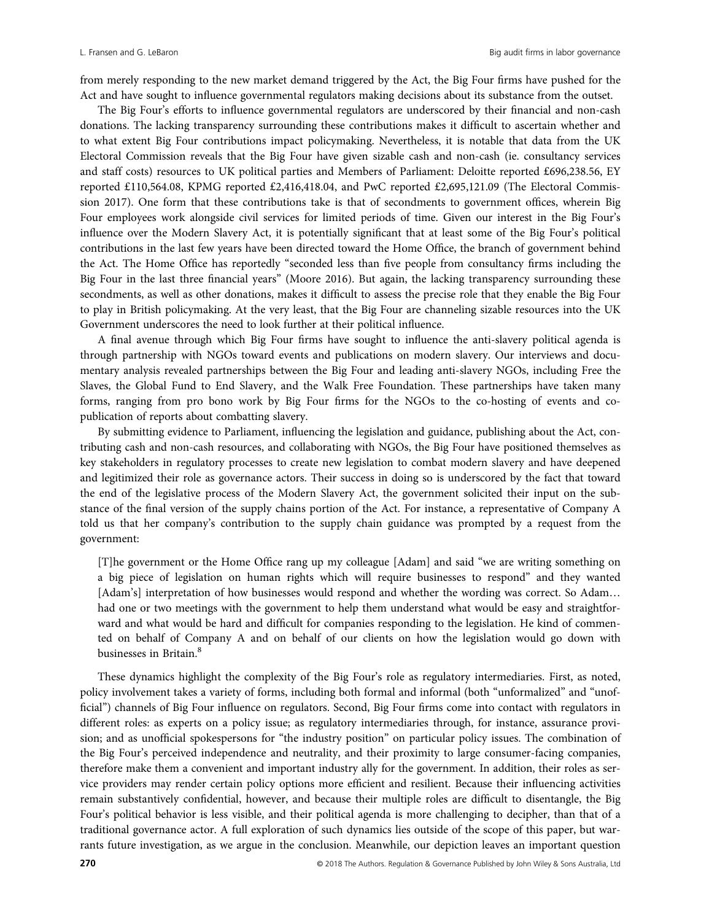from merely responding to the new market demand triggered by the Act, the Big Four firms have pushed for the Act and have sought to influence governmental regulators making decisions about its substance from the outset.

The Big Four's efforts to influence governmental regulators are underscored by their financial and non-cash donations. The lacking transparency surrounding these contributions makes it difficult to ascertain whether and to what extent Big Four contributions impact policymaking. Nevertheless, it is notable that data from the UK Electoral Commission reveals that the Big Four have given sizable cash and non-cash (ie. consultancy services and staff costs) resources to UK political parties and Members of Parliament: Deloitte reported £696,238.56, EY reported £110,564.08, KPMG reported £2,416,418.04, and PwC reported £2,695,121.09 (The Electoral Commission 2017). One form that these contributions take is that of secondments to government offices, wherein Big Four employees work alongside civil services for limited periods of time. Given our interest in the Big Four's influence over the Modern Slavery Act, it is potentially significant that at least some of the Big Four's political contributions in the last few years have been directed toward the Home Office, the branch of government behind the Act. The Home Office has reportedly "seconded less than five people from consultancy firms including the Big Four in the last three financial years" (Moore 2016). But again, the lacking transparency surrounding these secondments, as well as other donations, makes it difficult to assess the precise role that they enable the Big Four to play in British policymaking. At the very least, that the Big Four are channeling sizable resources into the UK Government underscores the need to look further at their political influence.

A final avenue through which Big Four firms have sought to influence the anti-slavery political agenda is through partnership with NGOs toward events and publications on modern slavery. Our interviews and documentary analysis revealed partnerships between the Big Four and leading anti-slavery NGOs, including Free the Slaves, the Global Fund to End Slavery, and the Walk Free Foundation. These partnerships have taken many forms, ranging from pro bono work by Big Four firms for the NGOs to the co-hosting of events and copublication of reports about combatting slavery.

By submitting evidence to Parliament, influencing the legislation and guidance, publishing about the Act, contributing cash and non-cash resources, and collaborating with NGOs, the Big Four have positioned themselves as key stakeholders in regulatory processes to create new legislation to combat modern slavery and have deepened and legitimized their role as governance actors. Their success in doing so is underscored by the fact that toward the end of the legislative process of the Modern Slavery Act, the government solicited their input on the substance of the final version of the supply chains portion of the Act. For instance, a representative of Company A told us that her company's contribution to the supply chain guidance was prompted by a request from the government:

[T]he government or the Home Office rang up my colleague [Adam] and said "we are writing something on a big piece of legislation on human rights which will require businesses to respond" and they wanted [Adam's] interpretation of how businesses would respond and whether the wording was correct. So Adam… had one or two meetings with the government to help them understand what would be easy and straightforward and what would be hard and difficult for companies responding to the legislation. He kind of commented on behalf of Company A and on behalf of our clients on how the legislation would go down with businesses in Britain.<sup>8</sup>

These dynamics highlight the complexity of the Big Four's role as regulatory intermediaries. First, as noted, policy involvement takes a variety of forms, including both formal and informal (both "unformalized" and "unofficial") channels of Big Four influence on regulators. Second, Big Four firms come into contact with regulators in different roles: as experts on a policy issue; as regulatory intermediaries through, for instance, assurance provision; and as unofficial spokespersons for "the industry position" on particular policy issues. The combination of the Big Four's perceived independence and neutrality, and their proximity to large consumer-facing companies, therefore make them a convenient and important industry ally for the government. In addition, their roles as service providers may render certain policy options more efficient and resilient. Because their influencing activities remain substantively confidential, however, and because their multiple roles are difficult to disentangle, the Big Four's political behavior is less visible, and their political agenda is more challenging to decipher, than that of a traditional governance actor. A full exploration of such dynamics lies outside of the scope of this paper, but warrants future investigation, as we argue in the conclusion. Meanwhile, our depiction leaves an important question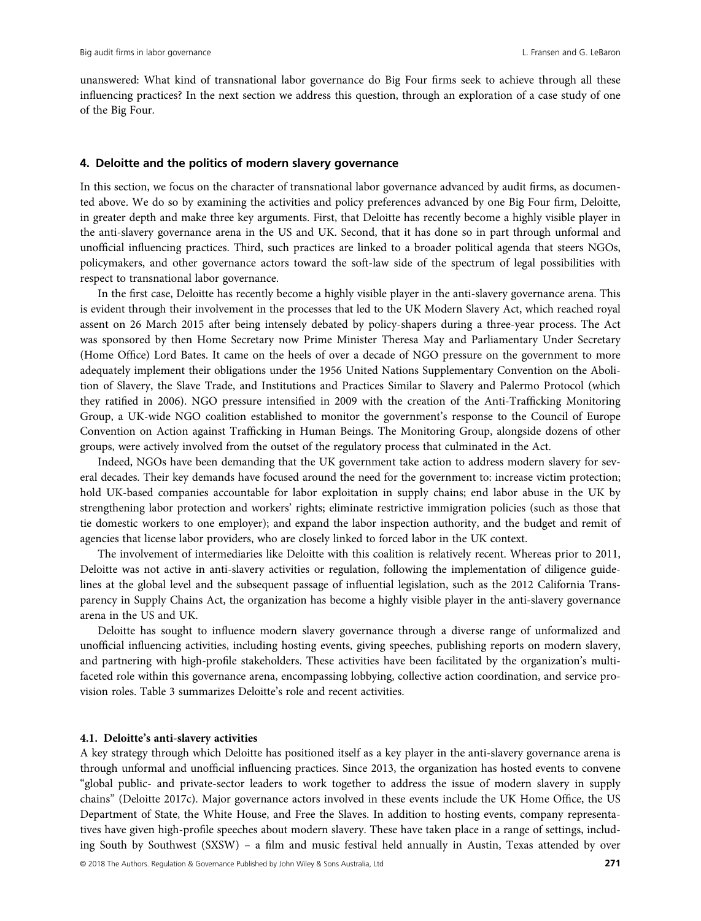unanswered: What kind of transnational labor governance do Big Four firms seek to achieve through all these influencing practices? In the next section we address this question, through an exploration of a case study of one of the Big Four.

#### 4. Deloitte and the politics of modern slavery governance

In this section, we focus on the character of transnational labor governance advanced by audit firms, as documented above. We do so by examining the activities and policy preferences advanced by one Big Four firm, Deloitte, in greater depth and make three key arguments. First, that Deloitte has recently become a highly visible player in the anti-slavery governance arena in the US and UK. Second, that it has done so in part through unformal and unofficial influencing practices. Third, such practices are linked to a broader political agenda that steers NGOs, policymakers, and other governance actors toward the soft-law side of the spectrum of legal possibilities with respect to transnational labor governance.

In the first case, Deloitte has recently become a highly visible player in the anti-slavery governance arena. This is evident through their involvement in the processes that led to the UK Modern Slavery Act, which reached royal assent on 26 March 2015 after being intensely debated by policy-shapers during a three-year process. The Act was sponsored by then Home Secretary now Prime Minister Theresa May and Parliamentary Under Secretary (Home Office) Lord Bates. It came on the heels of over a decade of NGO pressure on the government to more adequately implement their obligations under the 1956 United Nations Supplementary Convention on the Abolition of Slavery, the Slave Trade, and Institutions and Practices Similar to Slavery and Palermo Protocol (which they ratified in 2006). NGO pressure intensified in 2009 with the creation of the Anti-Trafficking Monitoring Group, a UK-wide NGO coalition established to monitor the government's response to the Council of Europe Convention on Action against Trafficking in Human Beings. The Monitoring Group, alongside dozens of other groups, were actively involved from the outset of the regulatory process that culminated in the Act.

Indeed, NGOs have been demanding that the UK government take action to address modern slavery for several decades. Their key demands have focused around the need for the government to: increase victim protection; hold UK-based companies accountable for labor exploitation in supply chains; end labor abuse in the UK by strengthening labor protection and workers' rights; eliminate restrictive immigration policies (such as those that tie domestic workers to one employer); and expand the labor inspection authority, and the budget and remit of agencies that license labor providers, who are closely linked to forced labor in the UK context.

The involvement of intermediaries like Deloitte with this coalition is relatively recent. Whereas prior to 2011, Deloitte was not active in anti-slavery activities or regulation, following the implementation of diligence guidelines at the global level and the subsequent passage of influential legislation, such as the 2012 California Transparency in Supply Chains Act, the organization has become a highly visible player in the anti-slavery governance arena in the US and UK.

Deloitte has sought to influence modern slavery governance through a diverse range of unformalized and unofficial influencing activities, including hosting events, giving speeches, publishing reports on modern slavery, and partnering with high-profile stakeholders. These activities have been facilitated by the organization's multifaceted role within this governance arena, encompassing lobbying, collective action coordination, and service provision roles. Table 3 summarizes Deloitte's role and recent activities.

#### 4.1. Deloitte's anti-slavery activities

A key strategy through which Deloitte has positioned itself as a key player in the anti-slavery governance arena is through unformal and unofficial influencing practices. Since 2013, the organization has hosted events to convene "global public- and private-sector leaders to work together to address the issue of modern slavery in supply chains" (Deloitte 2017c). Major governance actors involved in these events include the UK Home Office, the US Department of State, the White House, and Free the Slaves. In addition to hosting events, company representatives have given high-profile speeches about modern slavery. These have taken place in a range of settings, including South by Southwest (SXSW) – a film and music festival held annually in Austin, Texas attended by over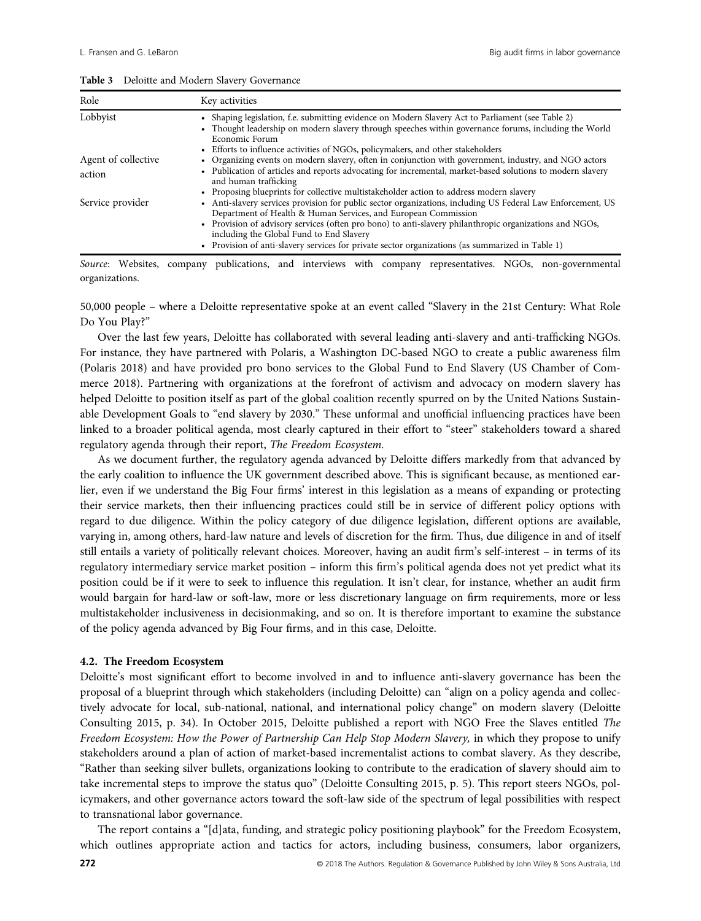| Role                | Key activities                                                                                                                                                                                                               |
|---------------------|------------------------------------------------------------------------------------------------------------------------------------------------------------------------------------------------------------------------------|
| Lobbyist            | • Shaping legislation, f.e. submitting evidence on Modern Slavery Act to Parliament (see Table 2)<br>• Thought leadership on modern slavery through speeches within governance forums, including the World<br>Economic Forum |
|                     | • Efforts to influence activities of NGOs, policymakers, and other stakeholders                                                                                                                                              |
| Agent of collective | • Organizing events on modern slavery, often in conjunction with government, industry, and NGO actors                                                                                                                        |
| action              | • Publication of articles and reports advocating for incremental, market-based solutions to modern slavery<br>and human trafficking                                                                                          |
|                     | • Proposing blueprints for collective multistakeholder action to address modern slavery                                                                                                                                      |
| Service provider    | • Anti-slavery services provision for public sector organizations, including US Federal Law Enforcement, US<br>Department of Health & Human Services, and European Commission                                                |
|                     | • Provision of advisory services (often pro bono) to anti-slavery philanthropic organizations and NGOs,<br>including the Global Fund to End Slavery                                                                          |
|                     | • Provision of anti-slavery services for private sector organizations (as summarized in Table 1)                                                                                                                             |

Table 3 Deloitte and Modern Slavery Governance

Source: Websites, company publications, and interviews with company representatives. NGOs, non-governmental organizations.

50,000 people – where a Deloitte representative spoke at an event called "Slavery in the 21st Century: What Role Do You Play?"

Over the last few years, Deloitte has collaborated with several leading anti-slavery and anti-trafficking NGOs. For instance, they have partnered with Polaris, a Washington DC-based NGO to create a public awareness film (Polaris 2018) and have provided pro bono services to the Global Fund to End Slavery (US Chamber of Commerce 2018). Partnering with organizations at the forefront of activism and advocacy on modern slavery has helped Deloitte to position itself as part of the global coalition recently spurred on by the United Nations Sustainable Development Goals to "end slavery by 2030." These unformal and unofficial influencing practices have been linked to a broader political agenda, most clearly captured in their effort to "steer" stakeholders toward a shared regulatory agenda through their report, The Freedom Ecosystem.

As we document further, the regulatory agenda advanced by Deloitte differs markedly from that advanced by the early coalition to influence the UK government described above. This is significant because, as mentioned earlier, even if we understand the Big Four firms' interest in this legislation as a means of expanding or protecting their service markets, then their influencing practices could still be in service of different policy options with regard to due diligence. Within the policy category of due diligence legislation, different options are available, varying in, among others, hard-law nature and levels of discretion for the firm. Thus, due diligence in and of itself still entails a variety of politically relevant choices. Moreover, having an audit firm's self-interest – in terms of its regulatory intermediary service market position – inform this firm's political agenda does not yet predict what its position could be if it were to seek to influence this regulation. It isn't clear, for instance, whether an audit firm would bargain for hard-law or soft-law, more or less discretionary language on firm requirements, more or less multistakeholder inclusiveness in decisionmaking, and so on. It is therefore important to examine the substance of the policy agenda advanced by Big Four firms, and in this case, Deloitte.

#### 4.2. The Freedom Ecosystem

Deloitte's most significant effort to become involved in and to influence anti-slavery governance has been the proposal of a blueprint through which stakeholders (including Deloitte) can "align on a policy agenda and collectively advocate for local, sub-national, national, and international policy change" on modern slavery (Deloitte Consulting 2015, p. 34). In October 2015, Deloitte published a report with NGO Free the Slaves entitled The Freedom Ecosystem: How the Power of Partnership Can Help Stop Modern Slavery, in which they propose to unify stakeholders around a plan of action of market-based incrementalist actions to combat slavery. As they describe, "Rather than seeking silver bullets, organizations looking to contribute to the eradication of slavery should aim to take incremental steps to improve the status quo" (Deloitte Consulting 2015, p. 5). This report steers NGOs, policymakers, and other governance actors toward the soft-law side of the spectrum of legal possibilities with respect to transnational labor governance.

The report contains a "[d]ata, funding, and strategic policy positioning playbook" for the Freedom Ecosystem, which outlines appropriate action and tactics for actors, including business, consumers, labor organizers,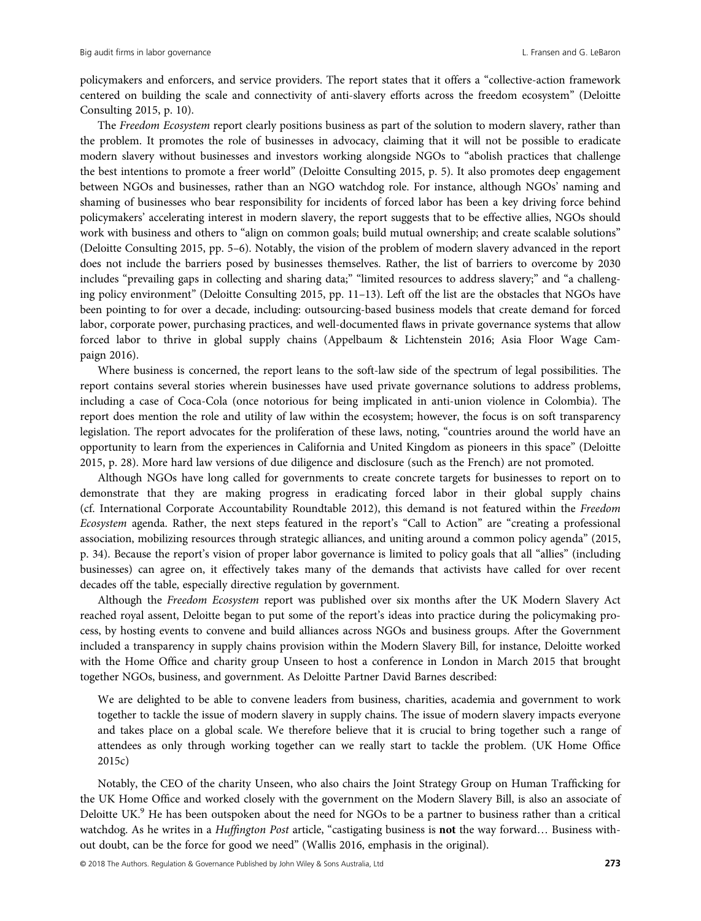policymakers and enforcers, and service providers. The report states that it offers a "collective-action framework centered on building the scale and connectivity of anti-slavery efforts across the freedom ecosystem" (Deloitte Consulting 2015, p. 10).

The Freedom Ecosystem report clearly positions business as part of the solution to modern slavery, rather than the problem. It promotes the role of businesses in advocacy, claiming that it will not be possible to eradicate modern slavery without businesses and investors working alongside NGOs to "abolish practices that challenge the best intentions to promote a freer world" (Deloitte Consulting 2015, p. 5). It also promotes deep engagement between NGOs and businesses, rather than an NGO watchdog role. For instance, although NGOs' naming and shaming of businesses who bear responsibility for incidents of forced labor has been a key driving force behind policymakers' accelerating interest in modern slavery, the report suggests that to be effective allies, NGOs should work with business and others to "align on common goals; build mutual ownership; and create scalable solutions" (Deloitte Consulting 2015, pp. 5–6). Notably, the vision of the problem of modern slavery advanced in the report does not include the barriers posed by businesses themselves. Rather, the list of barriers to overcome by 2030 includes "prevailing gaps in collecting and sharing data;" "limited resources to address slavery;" and "a challenging policy environment" (Deloitte Consulting 2015, pp. 11–13). Left off the list are the obstacles that NGOs have been pointing to for over a decade, including: outsourcing-based business models that create demand for forced labor, corporate power, purchasing practices, and well-documented flaws in private governance systems that allow forced labor to thrive in global supply chains (Appelbaum & Lichtenstein 2016; Asia Floor Wage Campaign 2016).

Where business is concerned, the report leans to the soft-law side of the spectrum of legal possibilities. The report contains several stories wherein businesses have used private governance solutions to address problems, including a case of Coca-Cola (once notorious for being implicated in anti-union violence in Colombia). The report does mention the role and utility of law within the ecosystem; however, the focus is on soft transparency legislation. The report advocates for the proliferation of these laws, noting, "countries around the world have an opportunity to learn from the experiences in California and United Kingdom as pioneers in this space" (Deloitte 2015, p. 28). More hard law versions of due diligence and disclosure (such as the French) are not promoted.

Although NGOs have long called for governments to create concrete targets for businesses to report on to demonstrate that they are making progress in eradicating forced labor in their global supply chains (cf. International Corporate Accountability Roundtable 2012), this demand is not featured within the Freedom Ecosystem agenda. Rather, the next steps featured in the report's "Call to Action" are "creating a professional association, mobilizing resources through strategic alliances, and uniting around a common policy agenda" (2015, p. 34). Because the report's vision of proper labor governance is limited to policy goals that all "allies" (including businesses) can agree on, it effectively takes many of the demands that activists have called for over recent decades off the table, especially directive regulation by government.

Although the Freedom Ecosystem report was published over six months after the UK Modern Slavery Act reached royal assent, Deloitte began to put some of the report's ideas into practice during the policymaking process, by hosting events to convene and build alliances across NGOs and business groups. After the Government included a transparency in supply chains provision within the Modern Slavery Bill, for instance, Deloitte worked with the Home Office and charity group Unseen to host a conference in London in March 2015 that brought together NGOs, business, and government. As Deloitte Partner David Barnes described:

We are delighted to be able to convene leaders from business, charities, academia and government to work together to tackle the issue of modern slavery in supply chains. The issue of modern slavery impacts everyone and takes place on a global scale. We therefore believe that it is crucial to bring together such a range of attendees as only through working together can we really start to tackle the problem. (UK Home Office 2015c)

Notably, the CEO of the charity Unseen, who also chairs the Joint Strategy Group on Human Trafficking for the UK Home Office and worked closely with the government on the Modern Slavery Bill, is also an associate of Deloitte UK.<sup>9</sup> He has been outspoken about the need for NGOs to be a partner to business rather than a critical watchdog. As he writes in a Huffington Post article, "castigating business is **not** the way forward... Business without doubt, can be the force for good we need" (Wallis 2016, emphasis in the original).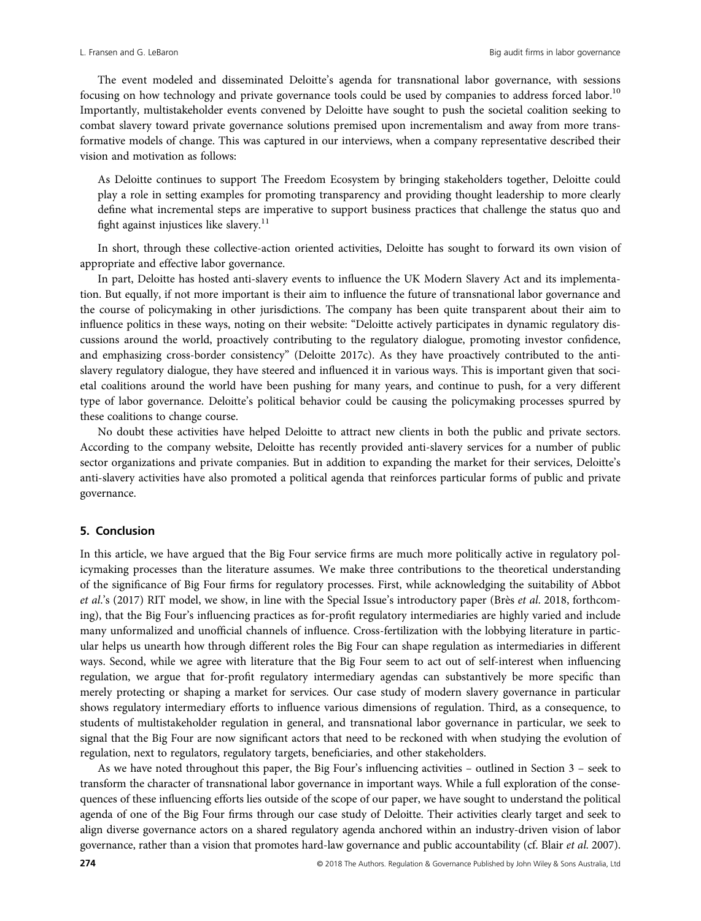The event modeled and disseminated Deloitte's agenda for transnational labor governance, with sessions focusing on how technology and private governance tools could be used by companies to address forced labor.<sup>10</sup> Importantly, multistakeholder events convened by Deloitte have sought to push the societal coalition seeking to combat slavery toward private governance solutions premised upon incrementalism and away from more transformative models of change. This was captured in our interviews, when a company representative described their vision and motivation as follows:

As Deloitte continues to support The Freedom Ecosystem by bringing stakeholders together, Deloitte could play a role in setting examples for promoting transparency and providing thought leadership to more clearly define what incremental steps are imperative to support business practices that challenge the status quo and fight against injustices like slavery.<sup>11</sup>

In short, through these collective-action oriented activities, Deloitte has sought to forward its own vision of appropriate and effective labor governance.

In part, Deloitte has hosted anti-slavery events to influence the UK Modern Slavery Act and its implementation. But equally, if not more important is their aim to influence the future of transnational labor governance and the course of policymaking in other jurisdictions. The company has been quite transparent about their aim to influence politics in these ways, noting on their website: "Deloitte actively participates in dynamic regulatory discussions around the world, proactively contributing to the regulatory dialogue, promoting investor confidence, and emphasizing cross-border consistency" (Deloitte 2017c). As they have proactively contributed to the antislavery regulatory dialogue, they have steered and influenced it in various ways. This is important given that societal coalitions around the world have been pushing for many years, and continue to push, for a very different type of labor governance. Deloitte's political behavior could be causing the policymaking processes spurred by these coalitions to change course.

No doubt these activities have helped Deloitte to attract new clients in both the public and private sectors. According to the company website, Deloitte has recently provided anti-slavery services for a number of public sector organizations and private companies. But in addition to expanding the market for their services, Deloitte's anti-slavery activities have also promoted a political agenda that reinforces particular forms of public and private governance.

# 5. Conclusion

In this article, we have argued that the Big Four service firms are much more politically active in regulatory policymaking processes than the literature assumes. We make three contributions to the theoretical understanding of the significance of Big Four firms for regulatory processes. First, while acknowledging the suitability of Abbot et al.'s (2017) RIT model, we show, in line with the Special Issue's introductory paper (Brès et al. 2018, forthcoming), that the Big Four's influencing practices as for-profit regulatory intermediaries are highly varied and include many unformalized and unofficial channels of influence. Cross-fertilization with the lobbying literature in particular helps us unearth how through different roles the Big Four can shape regulation as intermediaries in different ways. Second, while we agree with literature that the Big Four seem to act out of self-interest when influencing regulation, we argue that for-profit regulatory intermediary agendas can substantively be more specific than merely protecting or shaping a market for services. Our case study of modern slavery governance in particular shows regulatory intermediary efforts to influence various dimensions of regulation. Third, as a consequence, to students of multistakeholder regulation in general, and transnational labor governance in particular, we seek to signal that the Big Four are now significant actors that need to be reckoned with when studying the evolution of regulation, next to regulators, regulatory targets, beneficiaries, and other stakeholders.

As we have noted throughout this paper, the Big Four's influencing activities – outlined in Section 3 – seek to transform the character of transnational labor governance in important ways. While a full exploration of the consequences of these influencing efforts lies outside of the scope of our paper, we have sought to understand the political agenda of one of the Big Four firms through our case study of Deloitte. Their activities clearly target and seek to align diverse governance actors on a shared regulatory agenda anchored within an industry-driven vision of labor governance, rather than a vision that promotes hard-law governance and public accountability (cf. Blair et al. 2007).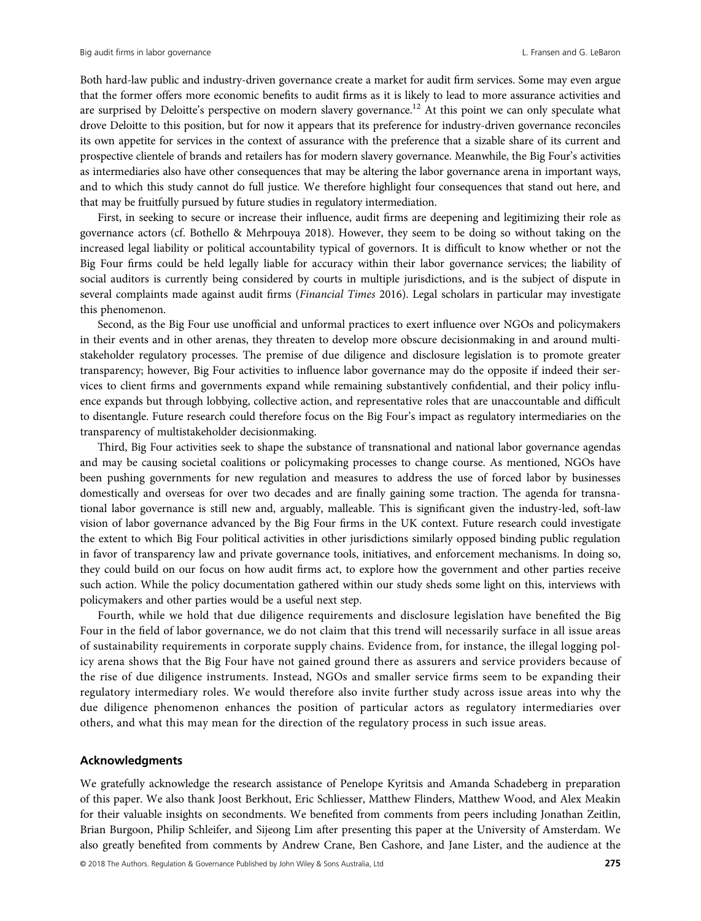Both hard-law public and industry-driven governance create a market for audit firm services. Some may even argue that the former offers more economic benefits to audit firms as it is likely to lead to more assurance activities and are surprised by Deloitte's perspective on modern slavery governance.<sup>12</sup> At this point we can only speculate what drove Deloitte to this position, but for now it appears that its preference for industry-driven governance reconciles its own appetite for services in the context of assurance with the preference that a sizable share of its current and prospective clientele of brands and retailers has for modern slavery governance. Meanwhile, the Big Four's activities as intermediaries also have other consequences that may be altering the labor governance arena in important ways, and to which this study cannot do full justice. We therefore highlight four consequences that stand out here, and that may be fruitfully pursued by future studies in regulatory intermediation.

First, in seeking to secure or increase their influence, audit firms are deepening and legitimizing their role as governance actors (cf. Bothello & Mehrpouya 2018). However, they seem to be doing so without taking on the increased legal liability or political accountability typical of governors. It is difficult to know whether or not the Big Four firms could be held legally liable for accuracy within their labor governance services; the liability of social auditors is currently being considered by courts in multiple jurisdictions, and is the subject of dispute in several complaints made against audit firms (Financial Times 2016). Legal scholars in particular may investigate this phenomenon.

Second, as the Big Four use unofficial and unformal practices to exert influence over NGOs and policymakers in their events and in other arenas, they threaten to develop more obscure decisionmaking in and around multistakeholder regulatory processes. The premise of due diligence and disclosure legislation is to promote greater transparency; however, Big Four activities to influence labor governance may do the opposite if indeed their services to client firms and governments expand while remaining substantively confidential, and their policy influence expands but through lobbying, collective action, and representative roles that are unaccountable and difficult to disentangle. Future research could therefore focus on the Big Four's impact as regulatory intermediaries on the transparency of multistakeholder decisionmaking.

Third, Big Four activities seek to shape the substance of transnational and national labor governance agendas and may be causing societal coalitions or policymaking processes to change course. As mentioned, NGOs have been pushing governments for new regulation and measures to address the use of forced labor by businesses domestically and overseas for over two decades and are finally gaining some traction. The agenda for transnational labor governance is still new and, arguably, malleable. This is significant given the industry-led, soft-law vision of labor governance advanced by the Big Four firms in the UK context. Future research could investigate the extent to which Big Four political activities in other jurisdictions similarly opposed binding public regulation in favor of transparency law and private governance tools, initiatives, and enforcement mechanisms. In doing so, they could build on our focus on how audit firms act, to explore how the government and other parties receive such action. While the policy documentation gathered within our study sheds some light on this, interviews with policymakers and other parties would be a useful next step.

Fourth, while we hold that due diligence requirements and disclosure legislation have benefited the Big Four in the field of labor governance, we do not claim that this trend will necessarily surface in all issue areas of sustainability requirements in corporate supply chains. Evidence from, for instance, the illegal logging policy arena shows that the Big Four have not gained ground there as assurers and service providers because of the rise of due diligence instruments. Instead, NGOs and smaller service firms seem to be expanding their regulatory intermediary roles. We would therefore also invite further study across issue areas into why the due diligence phenomenon enhances the position of particular actors as regulatory intermediaries over others, and what this may mean for the direction of the regulatory process in such issue areas.

#### Acknowledgments

We gratefully acknowledge the research assistance of Penelope Kyritsis and Amanda Schadeberg in preparation of this paper. We also thank Joost Berkhout, Eric Schliesser, Matthew Flinders, Matthew Wood, and Alex Meakin for their valuable insights on secondments. We benefited from comments from peers including Jonathan Zeitlin, Brian Burgoon, Philip Schleifer, and Sijeong Lim after presenting this paper at the University of Amsterdam. We also greatly benefited from comments by Andrew Crane, Ben Cashore, and Jane Lister, and the audience at the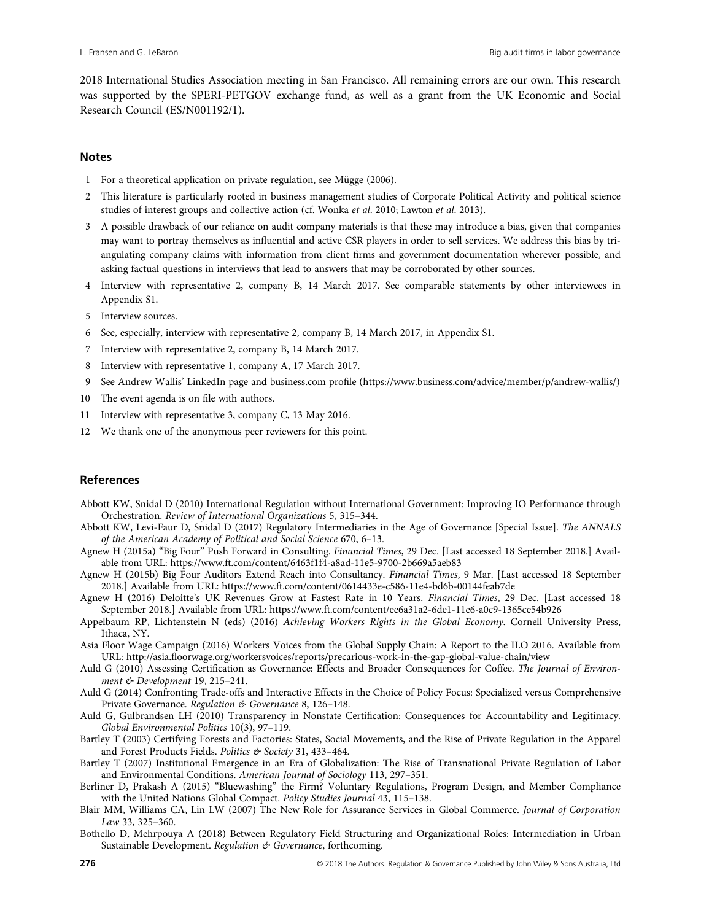2018 International Studies Association meeting in San Francisco. All remaining errors are our own. This research was supported by the SPERI-PETGOV exchange fund, as well as a grant from the UK Economic and Social Research Council (ES/N001192/1).

# **Notes**

- 1 For a theoretical application on private regulation, see Mügge (2006).
- 2 This literature is particularly rooted in business management studies of Corporate Political Activity and political science studies of interest groups and collective action (cf. Wonka et al. 2010; Lawton et al. 2013).
- 3 A possible drawback of our reliance on audit company materials is that these may introduce a bias, given that companies may want to portray themselves as influential and active CSR players in order to sell services. We address this bias by triangulating company claims with information from client firms and government documentation wherever possible, and asking factual questions in interviews that lead to answers that may be corroborated by other sources.
- 4 Interview with representative 2, company B, 14 March 2017. See comparable statements by other interviewees in Appendix S1.
- 5 Interview sources.
- 6 See, especially, interview with representative 2, company B, 14 March 2017, in Appendix S1.
- 7 Interview with representative 2, company B, 14 March 2017.
- 8 Interview with representative 1, company A, 17 March 2017.
- 9 See Andrew Wallis' LinkedIn page and [business.com](http://business.com) profile [\(https://www.business.com/advice/member/p/andrew-wallis/\)](https://www.business.com/advice/member/p/andrew-wallis/)
- 10 The event agenda is on file with authors.
- 11 Interview with representative 3, company C, 13 May 2016.
- 12 We thank one of the anonymous peer reviewers for this point.

### References

- Abbott KW, Snidal D (2010) International Regulation without International Government: Improving IO Performance through Orchestration. Review of International Organizations 5, 315–344.
- Abbott KW, Levi-Faur D, Snidal D (2017) Regulatory Intermediaries in the Age of Governance [Special Issue]. The ANNALS of the American Academy of Political and Social Science 670, 6–13.
- Agnew H (2015a) "Big Four" Push Forward in Consulting. Financial Times, 29 Dec. [Last accessed 18 September 2018.] Available from URL:<https://www.ft.com/content/6463f1f4-a8ad-11e5-9700-2b669a5aeb83>
- Agnew H (2015b) Big Four Auditors Extend Reach into Consultancy. Financial Times, 9 Mar. [Last accessed 18 September 2018.] Available from URL:<https://www.ft.com/content/0614433e-c586-11e4-bd6b-00144feab7de>
- Agnew H (2016) Deloitte's UK Revenues Grow at Fastest Rate in 10 Years. Financial Times, 29 Dec. [Last accessed 18 September 2018.] Available from URL:<https://www.ft.com/content/ee6a31a2-6de1-11e6-a0c9-1365ce54b926>
- Appelbaum RP, Lichtenstein N (eds) (2016) Achieving Workers Rights in the Global Economy. Cornell University Press, Ithaca, NY.
- Asia Floor Wage Campaign (2016) Workers Voices from the Global Supply Chain: A Report to the ILO 2016. Available from URL: http://asia.fl[oorwage.org/workersvoices/reports/precarious-work-in-the-gap-global-value-chain/view](http://asia.floorwage.org/workersvoices/reports/precarious-work-in-the-gap-global-value-chain/view)
- Auld G (2010) Assessing Certification as Governance: Effects and Broader Consequences for Coffee. The Journal of Environment & Development 19, 215–241.
- Auld G (2014) Confronting Trade-offs and Interactive Effects in the Choice of Policy Focus: Specialized versus Comprehensive Private Governance. Regulation & Governance 8, 126-148.
- Auld G, Gulbrandsen LH (2010) Transparency in Nonstate Certification: Consequences for Accountability and Legitimacy. Global Environmental Politics 10(3), 97–119.
- Bartley T (2003) Certifying Forests and Factories: States, Social Movements, and the Rise of Private Regulation in the Apparel and Forest Products Fields. Politics & Society 31, 433-464.
- Bartley T (2007) Institutional Emergence in an Era of Globalization: The Rise of Transnational Private Regulation of Labor and Environmental Conditions. American Journal of Sociology 113, 297–351.
- Berliner D, Prakash A (2015) "Bluewashing" the Firm? Voluntary Regulations, Program Design, and Member Compliance with the United Nations Global Compact. Policy Studies Journal 43, 115–138.
- Blair MM, Williams CA, Lin LW (2007) The New Role for Assurance Services in Global Commerce. Journal of Corporation Law 33, 325–360.
- Bothello D, Mehrpouya A (2018) Between Regulatory Field Structuring and Organizational Roles: Intermediation in Urban Sustainable Development. Regulation & Governance, forthcoming.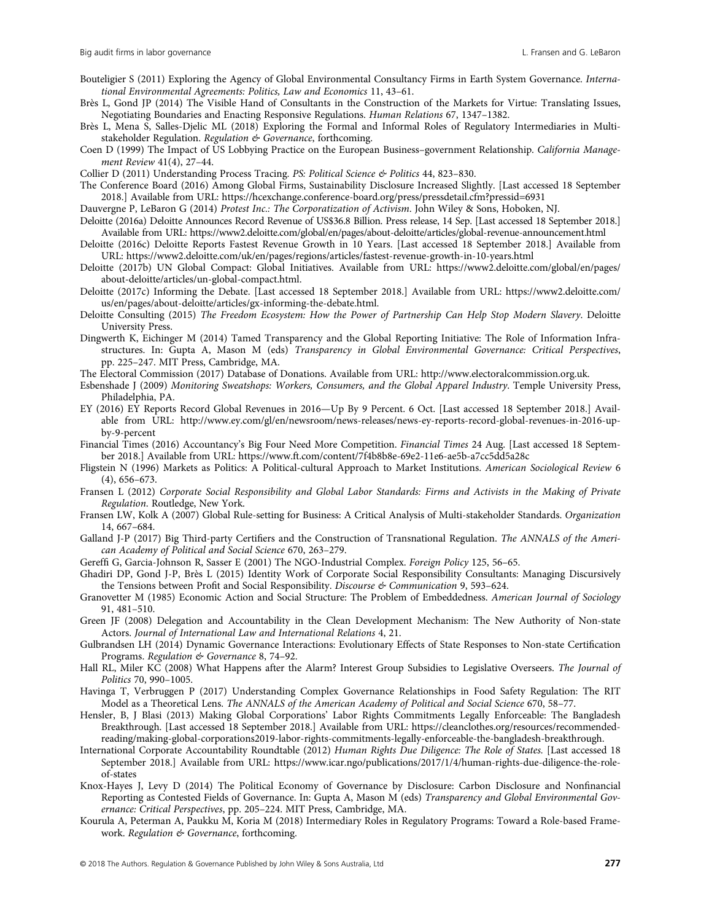- Bouteligier S (2011) Exploring the Agency of Global Environmental Consultancy Firms in Earth System Governance. International Environmental Agreements: Politics, Law and Economics 11, 43–61.
- Brès L, Gond JP (2014) The Visible Hand of Consultants in the Construction of the Markets for Virtue: Translating Issues, Negotiating Boundaries and Enacting Responsive Regulations. Human Relations 67, 1347–1382.
- Brès L, Mena S, Salles-Djelic ML (2018) Exploring the Formal and Informal Roles of Regulatory Intermediaries in Multistakeholder Regulation. Regulation & Governance, forthcoming.
- Coen D (1999) The Impact of US Lobbying Practice on the European Business–government Relationship. California Management Review 41(4), 27–44.
- Collier D (2011) Understanding Process Tracing. PS: Political Science & Politics 44, 823–830.
- The Conference Board (2016) Among Global Firms, Sustainability Disclosure Increased Slightly. [Last accessed 18 September 2018.] Available from URL:<https://hcexchange.conference-board.org/press/pressdetail.cfm?pressid=6931>
- Dauvergne P, LeBaron G (2014) Protest Inc.: The Corporatization of Activism. John Wiley & Sons, Hoboken, NJ.
- Deloitte (2016a) Deloitte Announces Record Revenue of US\$36.8 Billion. Press release, 14 Sep. [Last accessed 18 September 2018.] Available from URL:<https://www2.deloitte.com/global/en/pages/about-deloitte/articles/global-revenue-announcement.html>
- Deloitte (2016c) Deloitte Reports Fastest Revenue Growth in 10 Years. [Last accessed 18 September 2018.] Available from URL:<https://www2.deloitte.com/uk/en/pages/regions/articles/fastest-revenue-growth-in-10-years.html>
- Deloitte (2017b) UN Global Compact: Global Initiatives. Available from URL: [https://www2.deloitte.com/global/en/pages/](https://www2.deloitte.com/global/en/pages/about-deloitte/articles/un-global-compact.html) [about-deloitte/articles/un-global-compact.html](https://www2.deloitte.com/global/en/pages/about-deloitte/articles/un-global-compact.html).
- Deloitte (2017c) Informing the Debate. [Last accessed 18 September 2018.] Available from URL: [https://www2.deloitte.com/](https://www2.deloitte.com/us/en/pages/about-deloitte/articles/gx-informing-the-debate.html) [us/en/pages/about-deloitte/articles/gx-informing-the-debate.html](https://www2.deloitte.com/us/en/pages/about-deloitte/articles/gx-informing-the-debate.html).
- Deloitte Consulting (2015) The Freedom Ecosystem: How the Power of Partnership Can Help Stop Modern Slavery. Deloitte University Press.
- Dingwerth K, Eichinger M (2014) Tamed Transparency and the Global Reporting Initiative: The Role of Information Infrastructures. In: Gupta A, Mason M (eds) Transparency in Global Environmental Governance: Critical Perspectives, pp. 225–247. MIT Press, Cambridge, MA.
- The Electoral Commission (2017) Database of Donations. Available from URL:<http://www.electoralcommission.org.uk>.
- Esbenshade J (2009) Monitoring Sweatshops: Workers, Consumers, and the Global Apparel Industry. Temple University Press, Philadelphia, PA.
- EY (2016) EY Reports Record Global Revenues in 2016—Up By 9 Percent. 6 Oct. [Last accessed 18 September 2018.] Available from URL: [http://www.ey.com/gl/en/newsroom/news-releases/news-ey-reports-record-global-revenues-in-2016-up](http://www.ey.com/gl/en/newsroom/news-releases/news-ey-reports-record-global-revenues-in-2016-up-by-9-percent)[by-9-percent](http://www.ey.com/gl/en/newsroom/news-releases/news-ey-reports-record-global-revenues-in-2016-up-by-9-percent)
- Financial Times (2016) Accountancy's Big Four Need More Competition. Financial Times 24 Aug. [Last accessed 18 September 2018.] Available from URL:<https://www.ft.com/content/7f4b8b8e-69e2-11e6-ae5b-a7cc5dd5a28c>
- Fligstein N (1996) Markets as Politics: A Political-cultural Approach to Market Institutions. American Sociological Review 6 (4), 656–673.
- Fransen L (2012) Corporate Social Responsibility and Global Labor Standards: Firms and Activists in the Making of Private Regulation. Routledge, New York.
- Fransen LW, Kolk A (2007) Global Rule-setting for Business: A Critical Analysis of Multi-stakeholder Standards. Organization 14, 667–684.
- Galland J-P (2017) Big Third-party Certifiers and the Construction of Transnational Regulation. The ANNALS of the American Academy of Political and Social Science 670, 263–279.
- Gereffi G, Garcia-Johnson R, Sasser E (2001) The NGO-Industrial Complex. Foreign Policy 125, 56–65.
- Ghadiri DP, Gond J-P, Brès L (2015) Identity Work of Corporate Social Responsibility Consultants: Managing Discursively the Tensions between Profit and Social Responsibility. Discourse & Communication 9, 593-624.
- Granovetter M (1985) Economic Action and Social Structure: The Problem of Embeddedness. American Journal of Sociology 91, 481–510.
- Green JF (2008) Delegation and Accountability in the Clean Development Mechanism: The New Authority of Non-state Actors. Journal of International Law and International Relations 4, 21.
- Gulbrandsen LH (2014) Dynamic Governance Interactions: Evolutionary Effects of State Responses to Non-state Certification Programs. Regulation & Governance 8, 74–92.
- Hall RL, Miler KC (2008) What Happens after the Alarm? Interest Group Subsidies to Legislative Overseers. The Journal of Politics 70, 990–1005.
- Havinga T, Verbruggen P (2017) Understanding Complex Governance Relationships in Food Safety Regulation: The RIT Model as a Theoretical Lens. The ANNALS of the American Academy of Political and Social Science 670, 58–77.
- Hensler, B, J Blasi (2013) Making Global Corporations' Labor Rights Commitments Legally Enforceable: The Bangladesh Breakthrough. [Last accessed 18 September 2018.] Available from URL: [https://cleanclothes.org/resources/recommended](https://cleanclothes.org/resources/recommended-reading/making-global-corporations2019-labor-rights-commitments-legally-enforceable-the-bangladesh-breakthrough)[reading/making-global-corporations2019-labor-rights-commitments-legally-enforceable-the-bangladesh-breakthrough.](https://cleanclothes.org/resources/recommended-reading/making-global-corporations2019-labor-rights-commitments-legally-enforceable-the-bangladesh-breakthrough)
- International Corporate Accountability Roundtable (2012) Human Rights Due Diligence: The Role of States. [Last accessed 18 September 2018.] Available from URL: [https://www.icar.ngo/publications/2017/1/4/human-rights-due-diligence-the-role](https://www.icar.ngo/publications/2017/1/4/human-rights-due-diligence-the-role-of-states)[of-states](https://www.icar.ngo/publications/2017/1/4/human-rights-due-diligence-the-role-of-states)
- Knox-Hayes J, Levy D (2014) The Political Economy of Governance by Disclosure: Carbon Disclosure and Nonfinancial Reporting as Contested Fields of Governance. In: Gupta A, Mason M (eds) Transparency and Global Environmental Governance: Critical Perspectives, pp. 205–224. MIT Press, Cambridge, MA.
- Kourula A, Peterman A, Paukku M, Koria M (2018) Intermediary Roles in Regulatory Programs: Toward a Role-based Framework. Regulation & Governance, forthcoming.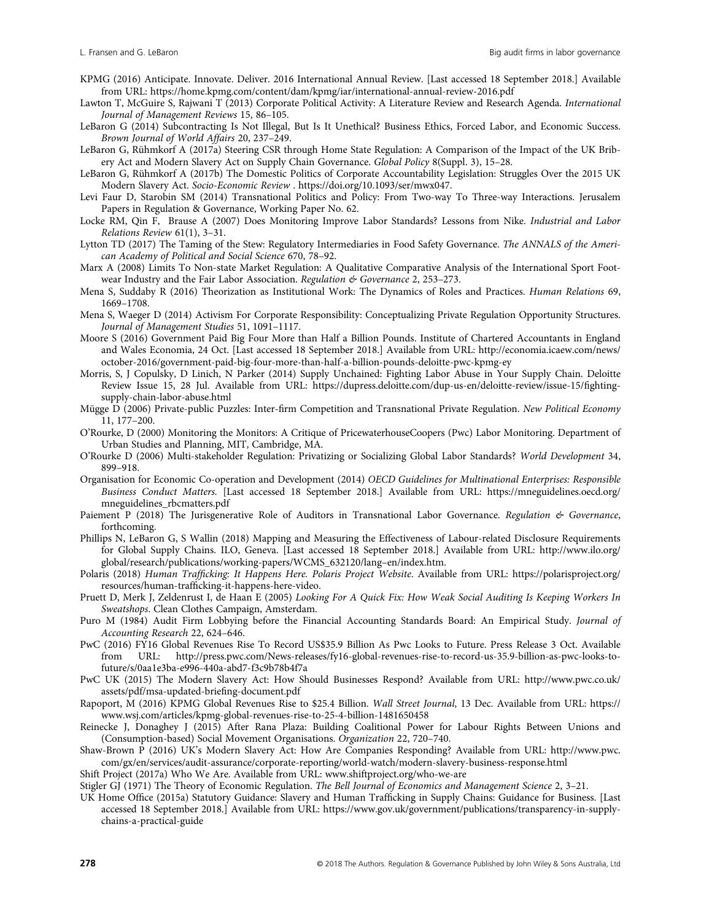- KPMG (2016) Anticipate. Innovate. Deliver. 2016 International Annual Review. [Last accessed 18 September 2018.] Available from URL:<https://home.kpmg.com/content/dam/kpmg/iar/international-annual-review-2016.pdf>
- Lawton T, McGuire S, Rajwani T (2013) Corporate Political Activity: A Literature Review and Research Agenda. International Journal of Management Reviews 15, 86–105.
- LeBaron G (2014) Subcontracting Is Not Illegal, But Is It Unethical? Business Ethics, Forced Labor, and Economic Success. Brown Journal of World Affairs 20, 237–249.

LeBaron G, Rühmkorf A (2017a) Steering CSR through Home State Regulation: A Comparison of the Impact of the UK Bribery Act and Modern Slavery Act on Supply Chain Governance. Global Policy 8(Suppl. 3), 15–28.

LeBaron G, Rühmkorf A (2017b) The Domestic Politics of Corporate Accountability Legislation: Struggles Over the 2015 UK Modern Slavery Act. Socio-Economic Review .<https://doi.org/10.1093/ser/mwx047>.

- Levi Faur D, Starobin SM (2014) Transnational Politics and Policy: From Two-way To Three-way Interactions. Jerusalem Papers in Regulation & Governance, Working Paper No. 62.
- Locke RM, Qin F, Brause A (2007) Does Monitoring Improve Labor Standards? Lessons from Nike. Industrial and Labor Relations Review 61(1), 3–31.
- Lytton TD (2017) The Taming of the Stew: Regulatory Intermediaries in Food Safety Governance. The ANNALS of the American Academy of Political and Social Science 670, 78–92.

Marx A (2008) Limits To Non-state Market Regulation: A Qualitative Comparative Analysis of the International Sport Footwear Industry and the Fair Labor Association. Regulation  $\mathfrak{G}$  Governance 2, 253–273.

- Mena S, Suddaby R (2016) Theorization as Institutional Work: The Dynamics of Roles and Practices. Human Relations 69, 1669–1708.
- Mena S, Waeger D (2014) Activism For Corporate Responsibility: Conceptualizing Private Regulation Opportunity Structures. Journal of Management Studies 51, 1091–1117.
- Moore S (2016) Government Paid Big Four More than Half a Billion Pounds. Institute of Chartered Accountants in England and Wales Economia, 24 Oct. [Last accessed 18 September 2018.] Available from URL: [http://economia.icaew.com/news/](http://economia.icaew.com/news/october-2016/government-paid-big-four-more-than-half-a-billion-pounds-deloitte-pwc-kpmg-ey) [october-2016/government-paid-big-four-more-than-half-a-billion-pounds-deloitte-pwc-kpmg-ey](http://economia.icaew.com/news/october-2016/government-paid-big-four-more-than-half-a-billion-pounds-deloitte-pwc-kpmg-ey)
- Morris, S, J Copulsky, D Linich, N Parker (2014) Supply Unchained: Fighting Labor Abuse in Your Supply Chain. Deloitte Review Issue 15, 28 Jul. Available from URL: [https://dupress.deloitte.com/dup-us-en/deloitte-review/issue-15/](https://dupress.deloitte.com/dup-us-en/deloitte-review/issue-15/fighting-supply-chain-labor-abuse.html)fighting[supply-chain-labor-abuse.html](https://dupress.deloitte.com/dup-us-en/deloitte-review/issue-15/fighting-supply-chain-labor-abuse.html)
- Mügge D (2006) Private-public Puzzles: Inter-firm Competition and Transnational Private Regulation. New Political Economy 11, 177–200.
- O'Rourke, D (2000) Monitoring the Monitors: A Critique of PricewaterhouseCoopers (Pwc) Labor Monitoring. Department of Urban Studies and Planning, MIT, Cambridge, MA.
- O'Rourke D (2006) Multi-stakeholder Regulation: Privatizing or Socializing Global Labor Standards? World Development 34, 899–918.
- Organisation for Economic Co-operation and Development (2014) OECD Guidelines for Multinational Enterprises: Responsible Business Conduct Matters. [Last accessed 18 September 2018.] Available from URL: [https://mneguidelines.oecd.org/](https://mneguidelines.oecd.org/mneguidelines_rbcmatters.pdf) mneguidelines rbcmatters.pdf
- Paiement P (2018) The Jurisgenerative Role of Auditors in Transnational Labor Governance. Regulation  $\mathcal{C}$  Governance, forthcoming.
- Phillips N, LeBaron G, S Wallin (2018) Mapping and Measuring the Effectiveness of Labour-related Disclosure Requirements for Global Supply Chains. ILO, Geneva. [Last accessed 18 September 2018.] Available from URL: [http://www.ilo.org/](http://www.ilo.org/global/research/publications/working-papers/WCMS_632120/lang--en/index.htm) [global/research/publications/working-papers/WCMS\\_632120/lang](http://www.ilo.org/global/research/publications/working-papers/WCMS_632120/lang--en/index.htm)–en/index.htm.
- Polaris (2018) Human Trafficking: It Happens Here. Polaris Project Website. Available from URL: [https://polarisproject.org/](https://polarisproject.org/resources/human-trafficking-it-happens-here-video) resources/human-traffi[cking-it-happens-here-video.](https://polarisproject.org/resources/human-trafficking-it-happens-here-video)
- Pruett D, Merk J, Zeldenrust I, de Haan E (2005) Looking For A Quick Fix: How Weak Social Auditing Is Keeping Workers In Sweatshops. Clean Clothes Campaign, Amsterdam.
- Puro M (1984) Audit Firm Lobbying before the Financial Accounting Standards Board: An Empirical Study. Journal of Accounting Research 22, 624–646.
- PwC (2016) FY16 Global Revenues Rise To Record US\$35.9 Billion As Pwc Looks to Future. Press Release 3 Oct. Available from URL: [http://press.pwc.com/News-releases/fy16-global-revenues-rise-to-record-us-35.9-billion-as-pwc-looks-to](http://press.pwc.com/News-releases/fy16-global-revenues-rise-to-record-us-35.9-billion-as-pwc-looks-to-future/s/0aa1e3ba-e996-440a-abd7-f3c9b78b4f7a)[future/s/0aa1e3ba-e996-440a-abd7-f3c9b78b4f7a](http://press.pwc.com/News-releases/fy16-global-revenues-rise-to-record-us-35.9-billion-as-pwc-looks-to-future/s/0aa1e3ba-e996-440a-abd7-f3c9b78b4f7a)
- PwC UK (2015) The Modern Slavery Act: How Should Businesses Respond? Available from URL: [http://www.pwc.co.uk/](http://www.pwc.co.uk/assets/pdf/msa-updated-briefing-document.pdf) [assets/pdf/msa-updated-brie](http://www.pwc.co.uk/assets/pdf/msa-updated-briefing-document.pdf)fing-document.pdf

Rapoport, M (2016) KPMG Global Revenues Rise to \$25.4 Billion. Wall Street Journal, 13 Dec. Available from URL: [https://](https://www.wsj.com/articles/kpmg-global-revenues-rise-to-25-4-billion-1481650458) [www.wsj.com/articles/kpmg-global-revenues-rise-to-25-4-billion-1481650458](https://www.wsj.com/articles/kpmg-global-revenues-rise-to-25-4-billion-1481650458)

- Reinecke J, Donaghey J (2015) After Rana Plaza: Building Coalitional Power for Labour Rights Between Unions and (Consumption-based) Social Movement Organisations. Organization 22, 720–740.
- Shaw-Brown P (2016) UK's Modern Slavery Act: How Are Companies Responding? Available from URL: [http://www.pwc.](http://www.pwc.com/gx/en/services/audit-assurance/corporate-reporting/world-watch/modern-slavery-business-response.html) [com/gx/en/services/audit-assurance/corporate-reporting/world-watch/modern-slavery-business-response.html](http://www.pwc.com/gx/en/services/audit-assurance/corporate-reporting/world-watch/modern-slavery-business-response.html)

Shift Project (2017a) Who We Are. Available from URL: [www.shiftproject.org/who-we-are](http://www.shiftproject.org/who-we-are)

Stigler GJ (1971) The Theory of Economic Regulation. The Bell Journal of Economics and Management Science 2, 3–21.

UK Home Office (2015a) Statutory Guidance: Slavery and Human Trafficking in Supply Chains: Guidance for Business. [Last accessed 18 September 2018.] Available from URL: [https://www.gov.uk/government/publications/transparency-in-supply](https://www.gov.uk/government/publications/transparency-in-supply-chains-a-practical-guide)[chains-a-practical-guide](https://www.gov.uk/government/publications/transparency-in-supply-chains-a-practical-guide)